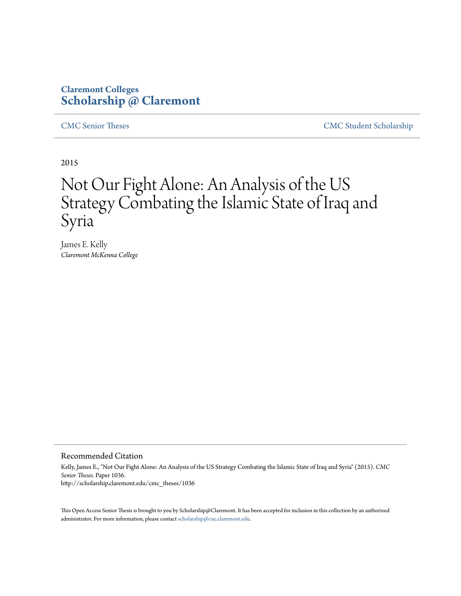### **Claremont Colleges [Scholarship @ Claremont](http://scholarship.claremont.edu)**

[CMC Senior Theses](http://scholarship.claremont.edu/cmc_theses) [CMC Student Scholarship](http://scholarship.claremont.edu/cmc_student)

2015

# Not Our Fight Alone: An Analysis of the US Strategy Combating the Islamic State of Iraq and Syria

James E. Kelly *Claremont McKenna College*

#### Recommended Citation

Kelly, James E., "Not Our Fight Alone: An Analysis of the US Strategy Combating the Islamic State of Iraq and Syria" (2015). *CMC Senior Theses.* Paper 1036. http://scholarship.claremont.edu/cmc\_theses/1036

This Open Access Senior Thesis is brought to you by Scholarship@Claremont. It has been accepted for inclusion in this collection by an authorized administrator. For more information, please contact [scholarship@cuc.claremont.edu.](mailto:scholarship@cuc.claremont.edu)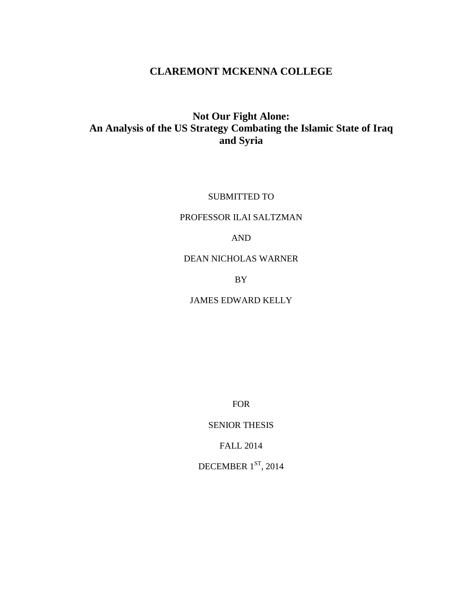### **CLAREMONT MCKENNA COLLEGE**

### **Not Our Fight Alone: An Analysis of the US Strategy Combating the Islamic State of Iraq and Syria**

SUBMITTED TO

#### PROFESSOR ILAI SALTZMAN

#### AND

#### DEAN NICHOLAS WARNER

BY

JAMES EDWARD KELLY

FOR

SENIOR THESIS

FALL 2014

DECEMBER  $1<sup>ST</sup>$ , 2014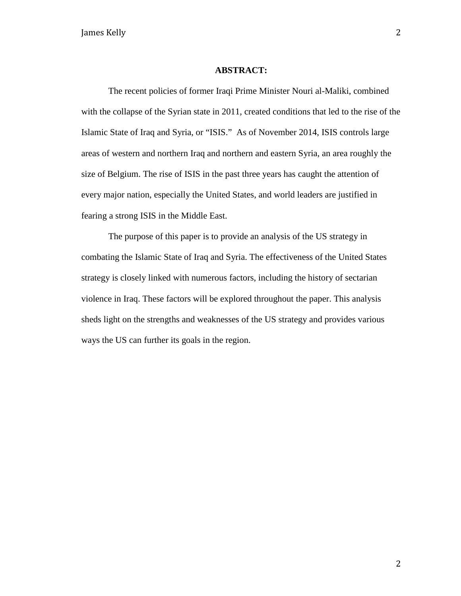#### **ABSTRACT:**

The recent policies of former Iraqi Prime Minister Nouri al-Maliki, combined with the collapse of the Syrian state in 2011, created conditions that led to the rise of the Islamic State of Iraq and Syria, or "ISIS." As of November 2014, ISIS controls large areas of western and northern Iraq and northern and eastern Syria, an area roughly the size of Belgium. The rise of ISIS in the past three years has caught the attention of every major nation, especially the United States, and world leaders are justified in fearing a strong ISIS in the Middle East.

The purpose of this paper is to provide an analysis of the US strategy in combating the Islamic State of Iraq and Syria. The effectiveness of the United States strategy is closely linked with numerous factors, including the history of sectarian violence in Iraq. These factors will be explored throughout the paper. This analysis sheds light on the strengths and weaknesses of the US strategy and provides various ways the US can further its goals in the region.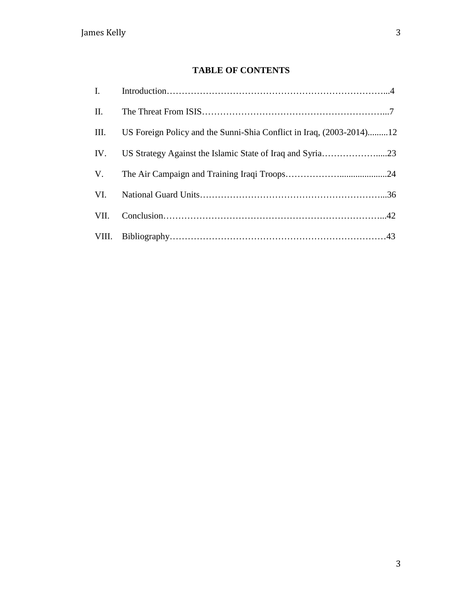### **TABLE OF CONTENTS**

| II.  |                                                                      |  |
|------|----------------------------------------------------------------------|--|
| III. | US Foreign Policy and the Sunni-Shia Conflict in Iraq, (2003-2014)12 |  |
| IV.  |                                                                      |  |
|      |                                                                      |  |
| VI.  |                                                                      |  |
| VII. |                                                                      |  |
|      |                                                                      |  |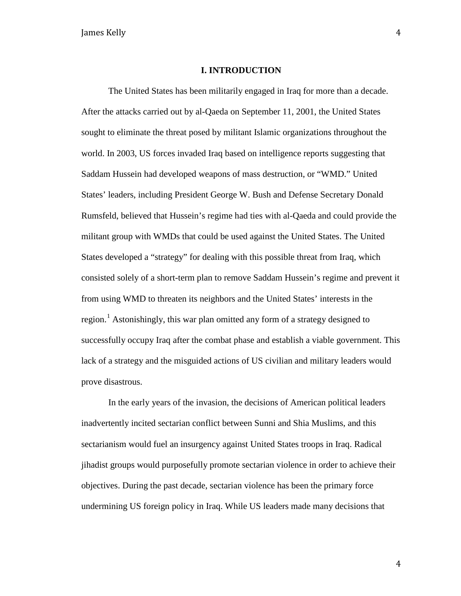#### **I. INTRODUCTION**

The United States has been militarily engaged in Iraq for more than a decade. After the attacks carried out by al-Qaeda on September 11, 2001, the United States sought to eliminate the threat posed by militant Islamic organizations throughout the world. In 2003, US forces invaded Iraq based on intelligence reports suggesting that Saddam Hussein had developed weapons of mass destruction, or "WMD." United States' leaders, including President George W. Bush and Defense Secretary Donald Rumsfeld, believed that Hussein's regime had ties with al-Qaeda and could provide the militant group with WMDs that could be used against the United States. The United States developed a "strategy" for dealing with this possible threat from Iraq, which consisted solely of a short-term plan to remove Saddam Hussein's regime and prevent it from using WMD to threaten its neighbors and the United States' interests in the region.<sup>[1](#page-43-0)</sup> Astonishingly, this war plan omitted any form of a strategy designed to successfully occupy Iraq after the combat phase and establish a viable government. This lack of a strategy and the misguided actions of US civilian and military leaders would prove disastrous.

In the early years of the invasion, the decisions of American political leaders inadvertently incited sectarian conflict between Sunni and Shia Muslims, and this sectarianism would fuel an insurgency against United States troops in Iraq. Radical jihadist groups would purposefully promote sectarian violence in order to achieve their objectives. During the past decade, sectarian violence has been the primary force undermining US foreign policy in Iraq. While US leaders made many decisions that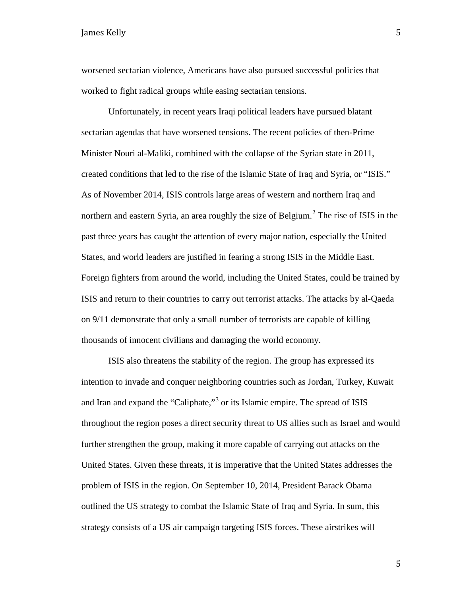worsened sectarian violence, Americans have also pursued successful policies that worked to fight radical groups while easing sectarian tensions.

Unfortunately, in recent years Iraqi political leaders have pursued blatant sectarian agendas that have worsened tensions. The recent policies of then-Prime Minister Nouri al-Maliki, combined with the collapse of the Syrian state in 2011, created conditions that led to the rise of the Islamic State of Iraq and Syria, or "ISIS." As of November 2014, ISIS controls large areas of western and northern Iraq and northern and eastern Syria, an area roughly the size of Belgium.<sup>[2](#page-44-0)</sup> The rise of ISIS in the past three years has caught the attention of every major nation, especially the United States, and world leaders are justified in fearing a strong ISIS in the Middle East. Foreign fighters from around the world, including the United States, could be trained by ISIS and return to their countries to carry out terrorist attacks. The attacks by al-Qaeda on 9/11 demonstrate that only a small number of terrorists are capable of killing thousands of innocent civilians and damaging the world economy.

ISIS also threatens the stability of the region. The group has expressed its intention to invade and conquer neighboring countries such as Jordan, Turkey, Kuwait and Iran and expand the "Caliphate,"<sup>[3](#page-44-1)</sup> or its Islamic empire. The spread of ISIS throughout the region poses a direct security threat to US allies such as Israel and would further strengthen the group, making it more capable of carrying out attacks on the United States. Given these threats, it is imperative that the United States addresses the problem of ISIS in the region. On September 10, 2014, President Barack Obama outlined the US strategy to combat the Islamic State of Iraq and Syria. In sum, this strategy consists of a US air campaign targeting ISIS forces. These airstrikes will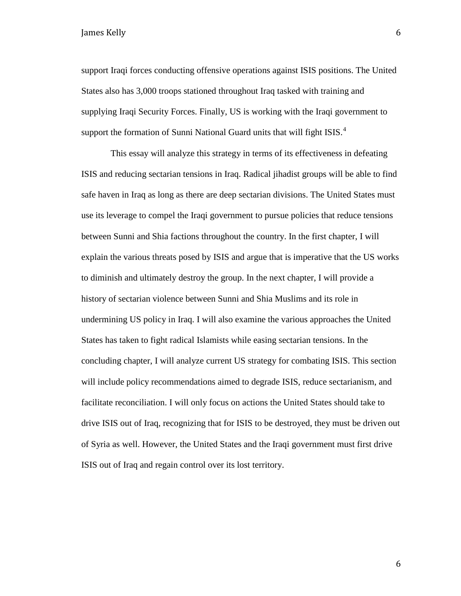support Iraqi forces conducting offensive operations against ISIS positions. The United States also has 3,000 troops stationed throughout Iraq tasked with training and supplying Iraqi Security Forces. Finally, US is working with the Iraqi government to support the formation of Sunni National Guard units that will fight ISIS. $4$ 

This essay will analyze this strategy in terms of its effectiveness in defeating ISIS and reducing sectarian tensions in Iraq. Radical jihadist groups will be able to find safe haven in Iraq as long as there are deep sectarian divisions. The United States must use its leverage to compel the Iraqi government to pursue policies that reduce tensions between Sunni and Shia factions throughout the country. In the first chapter, I will explain the various threats posed by ISIS and argue that is imperative that the US works to diminish and ultimately destroy the group. In the next chapter, I will provide a history of sectarian violence between Sunni and Shia Muslims and its role in undermining US policy in Iraq. I will also examine the various approaches the United States has taken to fight radical Islamists while easing sectarian tensions. In the concluding chapter, I will analyze current US strategy for combating ISIS. This section will include policy recommendations aimed to degrade ISIS, reduce sectarianism, and facilitate reconciliation. I will only focus on actions the United States should take to drive ISIS out of Iraq, recognizing that for ISIS to be destroyed, they must be driven out of Syria as well. However, the United States and the Iraqi government must first drive ISIS out of Iraq and regain control over its lost territory.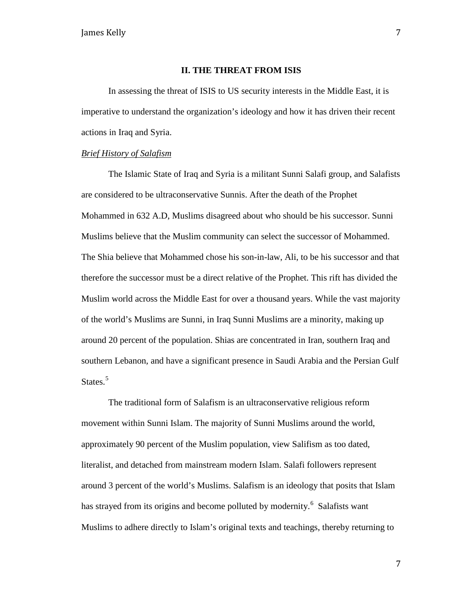#### **II. THE THREAT FROM ISIS**

In assessing the threat of ISIS to US security interests in the Middle East, it is imperative to understand the organization's ideology and how it has driven their recent actions in Iraq and Syria.

#### *Brief History of Salafism*

The Islamic State of Iraq and Syria is a militant Sunni Salafi group, and Salafists are considered to be ultraconservative Sunnis. After the death of the Prophet Mohammed in 632 A.D, Muslims disagreed about who should be his successor. Sunni Muslims believe that the Muslim community can select the successor of Mohammed. The Shia believe that Mohammed chose his son-in-law, Ali, to be his successor and that therefore the successor must be a direct relative of the Prophet. This rift has divided the Muslim world across the Middle East for over a thousand years. While the vast majority of the world's Muslims are Sunni, in Iraq Sunni Muslims are a minority, making up around 20 percent of the population. Shias are concentrated in Iran, southern Iraq and southern Lebanon, and have a significant presence in Saudi Arabia and the Persian Gulf States.<sup>[5](#page-45-1)</sup>

The traditional form of Salafism is an ultraconservative religious reform movement within Sunni Islam. The majority of Sunni Muslims around the world, approximately 90 percent of the Muslim population, view Salifism as too dated, literalist, and detached from mainstream modern Islam. Salafi followers represent around 3 percent of the world's Muslims. Salafism is an ideology that posits that Islam has strayed from its origins and become polluted by modernity.<sup>[6](#page-45-2)</sup> Salafists want Muslims to adhere directly to Islam's original texts and teachings, thereby returning to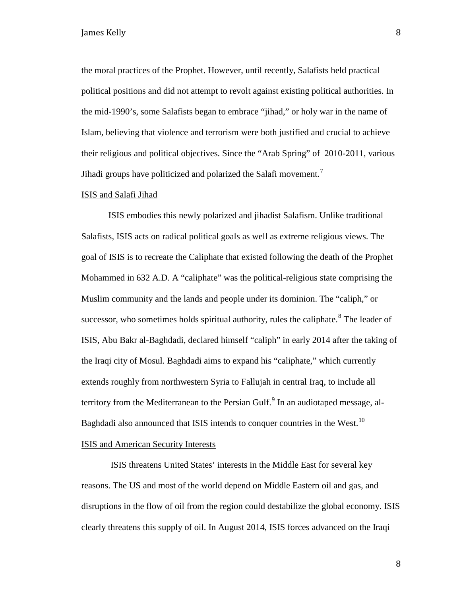the moral practices of the Prophet. However, until recently, Salafists held practical political positions and did not attempt to revolt against existing political authorities. In the mid-1990's, some Salafists began to embrace "jihad," or holy war in the name of Islam, believing that violence and terrorism were both justified and crucial to achieve their religious and political objectives. Since the "Arab Spring" of 2010-2011, various Jihadi groups have politicized and polarized the Salafi movement.<sup>[7](#page-46-0)</sup>

#### ISIS and Salafi Jihad

ISIS embodies this newly polarized and jihadist Salafism. Unlike traditional Salafists, ISIS acts on radical political goals as well as extreme religious views. The goal of ISIS is to recreate the Caliphate that existed following the death of the Prophet Mohammed in 632 A.D. A "caliphate" was the political-religious state comprising the Muslim community and the lands and people under its dominion. The "caliph," or successor, who sometimes holds spiritual authority, rules the caliphate.<sup>[8](#page-46-1)</sup> The leader of ISIS, Abu Bakr al-Baghdadi, declared himself "caliph" in early 2014 after the taking of the Iraqi city of Mosul. Baghdadi aims to expand his "caliphate," which currently extends roughly from northwestern Syria to Fallujah in central Iraq, to include all territory from the Mediterranean to the Persian Gulf. $<sup>9</sup>$  $<sup>9</sup>$  $<sup>9</sup>$  In an audiotaped message, al-</sup> Baghdadi also announced that ISIS intends to conquer countries in the West.<sup>[10](#page-46-3)</sup>

#### ISIS and American Security Interests

ISIS threatens United States' interests in the Middle East for several key reasons. The US and most of the world depend on Middle Eastern oil and gas, and disruptions in the flow of oil from the region could destabilize the global economy. ISIS clearly threatens this supply of oil. In August 2014, ISIS forces advanced on the Iraqi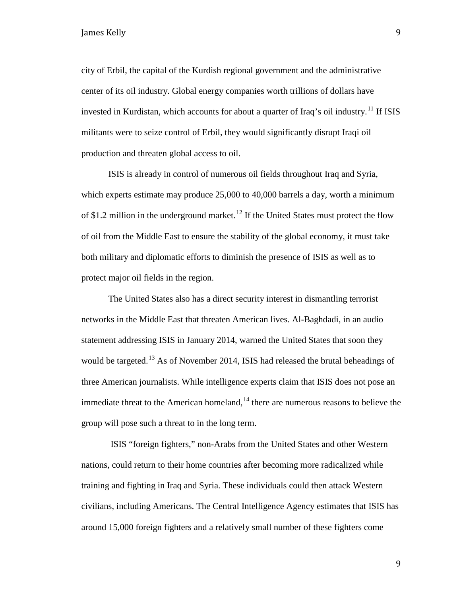city of Erbil, the capital of the Kurdish regional government and the administrative center of its oil industry. Global energy companies worth trillions of dollars have invested in Kurdistan, which accounts for about a quarter of Iraq's oil industry.<sup>[11](#page-47-0)</sup> If ISIS militants were to seize control of Erbil, they would significantly disrupt Iraqi oil production and threaten global access to oil.

ISIS is already in control of numerous oil fields throughout Iraq and Syria, which experts estimate may produce 25,000 to 40,000 barrels a day, worth a minimum of \$1.2 million in the underground market.<sup>[12](#page-47-1)</sup> If the United States must protect the flow of oil from the Middle East to ensure the stability of the global economy, it must take both military and diplomatic efforts to diminish the presence of ISIS as well as to protect major oil fields in the region.

The United States also has a direct security interest in dismantling terrorist networks in the Middle East that threaten American lives. Al-Baghdadi, in an audio statement addressing ISIS in January 2014, warned the United States that soon they would be targeted.<sup>[13](#page-47-2)</sup> As of November 2014, ISIS had released the brutal beheadings of three American journalists. While intelligence experts claim that ISIS does not pose an immediate threat to the American homeland,  $14$  there are numerous reasons to believe the group will pose such a threat to in the long term.

ISIS "foreign fighters," non-Arabs from the United States and other Western nations, could return to their home countries after becoming more radicalized while training and fighting in Iraq and Syria. These individuals could then attack Western civilians, including Americans. The Central Intelligence Agency estimates that ISIS has around 15,000 foreign fighters and a relatively small number of these fighters come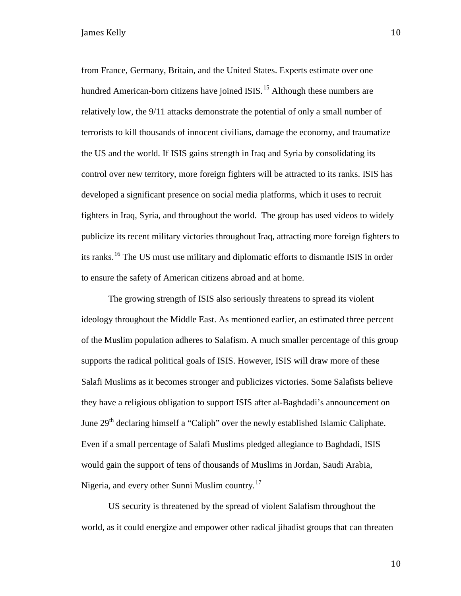from France, Germany, Britain, and the United States. Experts estimate over one hundred American-born citizens have joined ISIS.<sup>[15](#page-48-0)</sup> Although these numbers are relatively low, the 9/11 attacks demonstrate the potential of only a small number of terrorists to kill thousands of innocent civilians, damage the economy, and traumatize the US and the world. If ISIS gains strength in Iraq and Syria by consolidating its control over new territory, more foreign fighters will be attracted to its ranks. ISIS has developed a significant presence on social media platforms, which it uses to recruit fighters in Iraq, Syria, and throughout the world. The group has used videos to widely publicize its recent military victories throughout Iraq, attracting more foreign fighters to its ranks.[16](#page-48-1) The US must use military and diplomatic efforts to dismantle ISIS in order to ensure the safety of American citizens abroad and at home.

The growing strength of ISIS also seriously threatens to spread its violent ideology throughout the Middle East. As mentioned earlier, an estimated three percent of the Muslim population adheres to Salafism. A much smaller percentage of this group supports the radical political goals of ISIS. However, ISIS will draw more of these Salafi Muslims as it becomes stronger and publicizes victories. Some Salafists believe they have a religious obligation to support ISIS after al-Baghdadi's announcement on June  $29<sup>th</sup>$  declaring himself a "Caliph" over the newly established Islamic Caliphate. Even if a small percentage of Salafi Muslims pledged allegiance to Baghdadi, ISIS would gain the support of tens of thousands of Muslims in Jordan, Saudi Arabia, Nigeria, and every other Sunni Muslim country.<sup>[17](#page-48-2)</sup>

US security is threatened by the spread of violent Salafism throughout the world, as it could energize and empower other radical jihadist groups that can threaten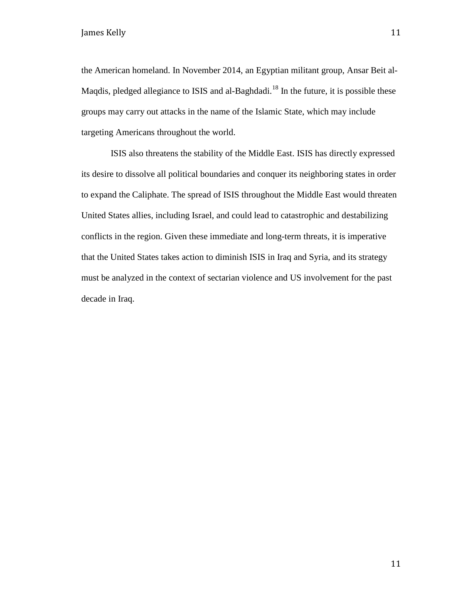the American homeland. In November 2014, an Egyptian militant group, Ansar Beit al-Magdis, pledged allegiance to ISIS and al-Baghdadi.<sup>[18](#page-48-3)</sup> In the future, it is possible these groups may carry out attacks in the name of the Islamic State, which may include targeting Americans throughout the world.

ISIS also threatens the stability of the Middle East. ISIS has directly expressed its desire to dissolve all political boundaries and conquer its neighboring states in order to expand the Caliphate. The spread of ISIS throughout the Middle East would threaten United States allies, including Israel, and could lead to catastrophic and destabilizing conflicts in the region. Given these immediate and long-term threats, it is imperative that the United States takes action to diminish ISIS in Iraq and Syria, and its strategy must be analyzed in the context of sectarian violence and US involvement for the past decade in Iraq.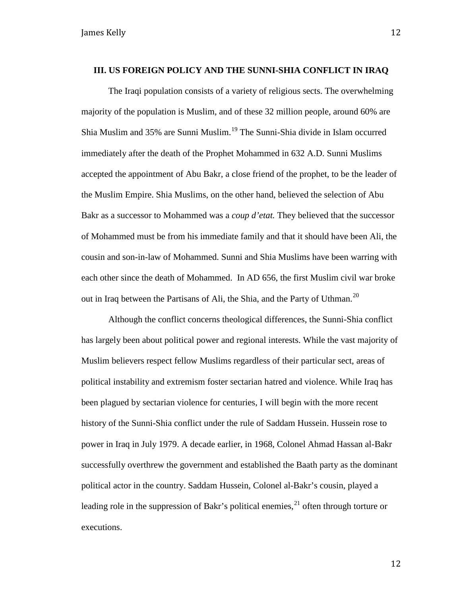#### **III. US FOREIGN POLICY AND THE SUNNI-SHIA CONFLICT IN IRAQ**

The Iraqi population consists of a variety of religious sects. The overwhelming majority of the population is Muslim, and of these 32 million people, around 60% are Shia Muslim and 35% are Sunni Muslim.<sup>[19](#page-48-4)</sup> The Sunni-Shia divide in Islam occurred immediately after the death of the Prophet Mohammed in 632 A.D. Sunni Muslims accepted the appointment of Abu Bakr, a close friend of the prophet, to be the leader of the Muslim Empire. Shia Muslims, on the other hand, believed the selection of Abu Bakr as a successor to Mohammed was a *coup d'etat.* They believed that the successor of Mohammed must be from his immediate family and that it should have been Ali, the cousin and son-in-law of Mohammed. Sunni and Shia Muslims have been warring with each other since the death of Mohammed. In AD 656, the first Muslim civil war broke out in Iraq between the Partisans of Ali, the Shia, and the Party of Uthman.<sup>[20](#page-48-5)</sup>

Although the conflict concerns theological differences, the Sunni-Shia conflict has largely been about political power and regional interests. While the vast majority of Muslim believers respect fellow Muslims regardless of their particular sect, areas of political instability and extremism foster sectarian hatred and violence. While Iraq has been plagued by sectarian violence for centuries, I will begin with the more recent history of the Sunni-Shia conflict under the rule of Saddam Hussein. Hussein rose to power in Iraq in July 1979. A decade earlier, in 1968, Colonel Ahmad Hassan al-Bakr successfully overthrew the government and established the Baath party as the dominant political actor in the country. Saddam Hussein, Colonel al-Bakr's cousin, played a leading role in the suppression of Bakr's political enemies, $^{21}$  $^{21}$  $^{21}$  often through torture or executions.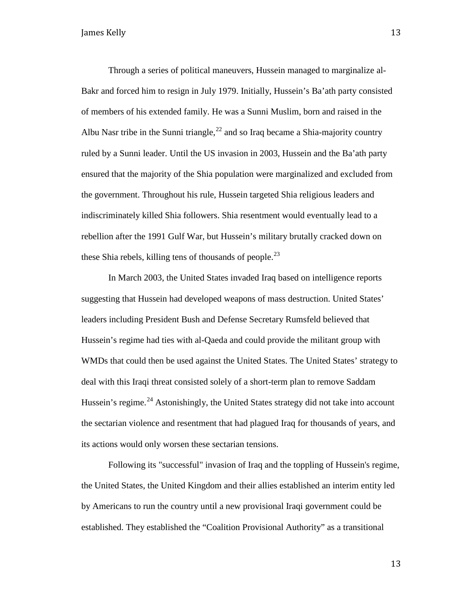Through a series of political maneuvers, Hussein managed to marginalize al-Bakr and forced him to resign in July 1979. Initially, Hussein's Ba'ath party consisted of members of his extended family. He was a Sunni Muslim, born and raised in the Albu Nasr tribe in the Sunni triangle,<sup>[22](#page-48-7)</sup> and so Iraq became a Shia-majority country ruled by a Sunni leader. Until the US invasion in 2003, Hussein and the Ba'ath party ensured that the majority of the Shia population were marginalized and excluded from the government. Throughout his rule, Hussein targeted Shia religious leaders and indiscriminately killed Shia followers. Shia resentment would eventually lead to a rebellion after the 1991 Gulf War, but Hussein's military brutally cracked down on these Shia rebels, killing tens of thousands of people.<sup>[23](#page-48-8)</sup>

In March 2003, the United States invaded Iraq based on intelligence reports suggesting that Hussein had developed weapons of mass destruction. United States' leaders including President Bush and Defense Secretary Rumsfeld believed that Hussein's regime had ties with al-Qaeda and could provide the militant group with WMDs that could then be used against the United States. The United States' strategy to deal with this Iraqi threat consisted solely of a short-term plan to remove Saddam Hussein's regime.<sup>[24](#page-48-9)</sup> Astonishingly, the United States strategy did not take into account the sectarian violence and resentment that had plagued Iraq for thousands of years, and its actions would only worsen these sectarian tensions.

Following its "successful" invasion of Iraq and the toppling of Hussein's regime, the United States, the United Kingdom and their allies established an interim entity led by Americans to run the country until a new provisional Iraqi government could be established. They established the "Coalition Provisional Authority" as a transitional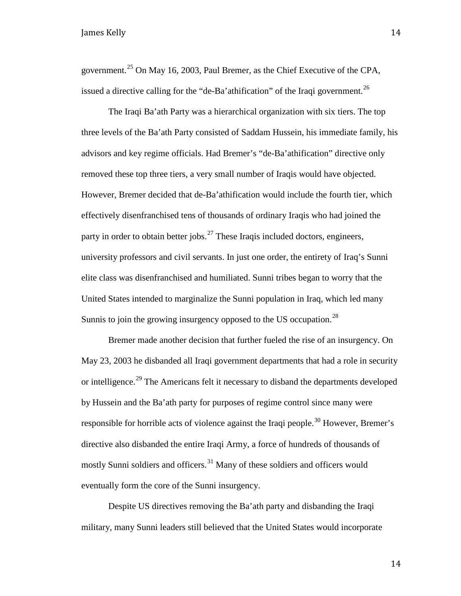government.<sup>[25](#page-48-10)</sup> On May 16, 2003, Paul Bremer, as the Chief Executive of the CPA, issued a directive calling for the "de-Ba'athification" of the Iraqi government.<sup>[26](#page-48-11)</sup>

The Iraqi Ba'ath Party was a hierarchical organization with six tiers. The top three levels of the Ba'ath Party consisted of Saddam Hussein, his immediate family, his advisors and key regime officials. Had Bremer's "de-Ba'athification" directive only removed these top three tiers, a very small number of Iraqis would have objected. However, Bremer decided that de-Ba'athification would include the fourth tier, which effectively disenfranchised tens of thousands of ordinary Iraqis who had joined the party in order to obtain better jobs.<sup>[27](#page-48-12)</sup> These Iraqis included doctors, engineers, university professors and civil servants. In just one order, the entirety of Iraq's Sunni elite class was disenfranchised and humiliated. Sunni tribes began to worry that the United States intended to marginalize the Sunni population in Iraq, which led many Sunnis to join the growing insurgency opposed to the US occupation.<sup>[28](#page-48-13)</sup>

Bremer made another decision that further fueled the rise of an insurgency. On May 23, 2003 he disbanded all Iraqi government departments that had a role in security or intelligence.<sup>[29](#page-48-14)</sup> The Americans felt it necessary to disband the departments developed by Hussein and the Ba'ath party for purposes of regime control since many were responsible for horrible acts of violence against the Iraqi people.<sup>[30](#page-48-15)</sup> However, Bremer's directive also disbanded the entire Iraqi Army, a force of hundreds of thousands of mostly Sunni soldiers and officers.<sup>[31](#page-48-16)</sup> Many of these soldiers and officers would eventually form the core of the Sunni insurgency.

Despite US directives removing the Ba'ath party and disbanding the Iraqi military, many Sunni leaders still believed that the United States would incorporate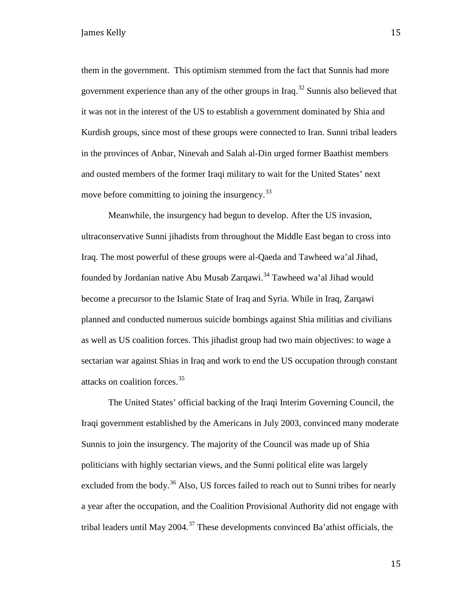them in the government. This optimism stemmed from the fact that Sunnis had more government experience than any of the other groups in Iraq.<sup>[32](#page-48-17)</sup> Sunnis also believed that it was not in the interest of the US to establish a government dominated by Shia and Kurdish groups, since most of these groups were connected to Iran. Sunni tribal leaders in the provinces of Anbar, Ninevah and Salah al-Din urged former Baathist members and ousted members of the former Iraqi military to wait for the United States' next move before committing to joining the insurgency.<sup>[33](#page-48-18)</sup>

Meanwhile, the insurgency had begun to develop. After the US invasion, ultraconservative Sunni jihadists from throughout the Middle East began to cross into Iraq. The most powerful of these groups were al-Qaeda and Tawheed wa'al Jihad, founded by Jordanian native Abu Musab Zarqawi.<sup>[34](#page-48-19)</sup> Tawheed wa'al Jihad would become a precursor to the Islamic State of Iraq and Syria. While in Iraq, Zarqawi planned and conducted numerous suicide bombings against Shia militias and civilians as well as US coalition forces. This jihadist group had two main objectives: to wage a sectarian war against Shias in Iraq and work to end the US occupation through constant attacks on coalition forces.[35](#page-48-20)

The United States' official backing of the Iraqi Interim Governing Council, the Iraqi government established by the Americans in July 2003, convinced many moderate Sunnis to join the insurgency. The majority of the Council was made up of Shia politicians with highly sectarian views, and the Sunni political elite was largely excluded from the body.<sup>[36](#page-48-21)</sup> Also, US forces failed to reach out to Sunni tribes for nearly a year after the occupation, and the Coalition Provisional Authority did not engage with tribal leaders until May 2004.<sup>[37](#page-48-22)</sup> These developments convinced Ba'athist officials, the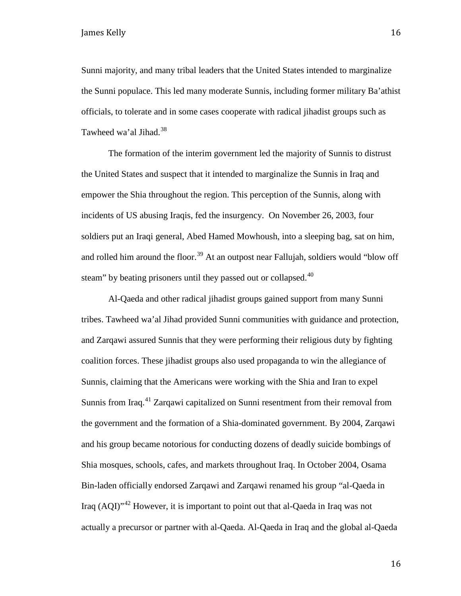Sunni majority, and many tribal leaders that the United States intended to marginalize the Sunni populace. This led many moderate Sunnis, including former military Ba'athist officials, to tolerate and in some cases cooperate with radical jihadist groups such as Tawheed wa'al Jihad.<sup>[38](#page-48-23)</sup>

The formation of the interim government led the majority of Sunnis to distrust the United States and suspect that it intended to marginalize the Sunnis in Iraq and empower the Shia throughout the region. This perception of the Sunnis, along with incidents of US abusing Iraqis, fed the insurgency. On November 26, 2003, four soldiers put an Iraqi general, Abed Hamed Mowhoush, into a sleeping bag, sat on him, and rolled him around the floor.<sup>[39](#page-48-24)</sup> At an outpost near Fallujah, soldiers would "blow off steam" by beating prisoners until they passed out or collapsed. $40$ 

Al-Qaeda and other radical jihadist groups gained support from many Sunni tribes. Tawheed wa'al Jihad provided Sunni communities with guidance and protection, and Zarqawi assured Sunnis that they were performing their religious duty by fighting coalition forces. These jihadist groups also used propaganda to win the allegiance of Sunnis, claiming that the Americans were working with the Shia and Iran to expel Sunnis from Iraq.<sup>[41](#page-48-26)</sup> Zarqawi capitalized on Sunni resentment from their removal from the government and the formation of a Shia-dominated government. By 2004, Zarqawi and his group became notorious for conducting dozens of deadly suicide bombings of Shia mosques, schools, cafes, and markets throughout Iraq. In October 2004, Osama Bin-laden officially endorsed Zarqawi and Zarqawi renamed his group "al-Qaeda in Iraq  $(AOI)^{42}$  $(AOI)^{42}$  $(AOI)^{42}$  However, it is important to point out that al-Qaeda in Iraq was not actually a precursor or partner with al-Qaeda. Al-Qaeda in Iraq and the global al-Qaeda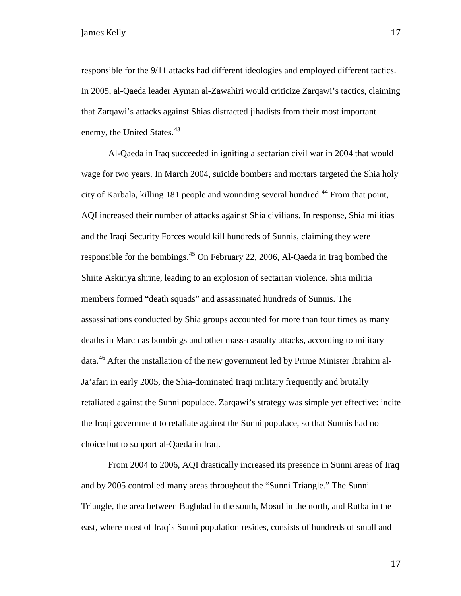responsible for the 9/11 attacks had different ideologies and employed different tactics. In 2005, al-Qaeda leader Ayman al-Zawahiri would criticize Zarqawi's tactics, claiming that Zarqawi's attacks against Shias distracted jihadists from their most important enemy, the United States.<sup>43</sup>

Al-Qaeda in Iraq succeeded in igniting a sectarian civil war in 2004 that would wage for two years. In March 2004, suicide bombers and mortars targeted the Shia holy city of Karbala, killing 181 people and wounding several hundred.<sup>[44](#page-48-29)</sup> From that point, AQI increased their number of attacks against Shia civilians. In response, Shia militias and the Iraqi Security Forces would kill hundreds of Sunnis, claiming they were responsible for the bombings.[45](#page-48-30) On February 22, 2006, Al-Qaeda in Iraq bombed the Shiite Askiriya shrine, leading to an explosion of sectarian violence. Shia militia members formed "death squads" and assassinated hundreds of Sunnis. The assassinations conducted by Shia groups accounted for more than four times as many deaths in March as bombings and other mass-casualty attacks, according to military data.[46](#page-48-31) After the installation of the new government led by Prime Minister Ibrahim al-Ja'afari in early 2005, the Shia-dominated Iraqi military frequently and brutally retaliated against the Sunni populace. Zarqawi's strategy was simple yet effective: incite the Iraqi government to retaliate against the Sunni populace, so that Sunnis had no choice but to support al-Qaeda in Iraq.

From 2004 to 2006, AQI drastically increased its presence in Sunni areas of Iraq and by 2005 controlled many areas throughout the "Sunni Triangle." The Sunni Triangle, the area between Baghdad in the south, Mosul in the north, and Rutba in the east, where most of Iraq's Sunni population resides, consists of hundreds of small and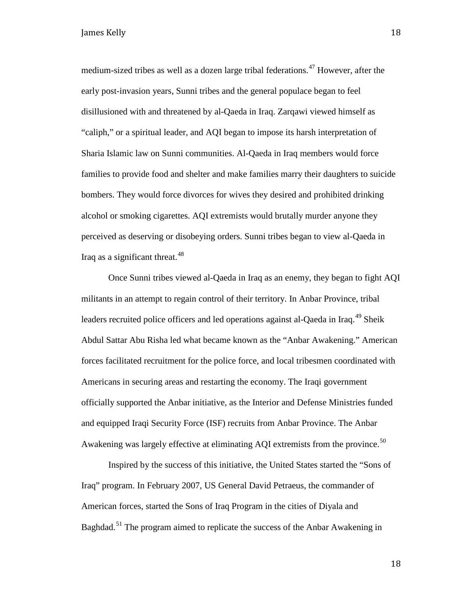medium-sized tribes as well as a dozen large tribal federations.<sup>[47](#page-48-32)</sup> However, after the early post-invasion years, Sunni tribes and the general populace began to feel disillusioned with and threatened by al-Qaeda in Iraq. Zarqawi viewed himself as "caliph," or a spiritual leader, and AQI began to impose its harsh interpretation of Sharia Islamic law on Sunni communities. Al-Qaeda in Iraq members would force families to provide food and shelter and make families marry their daughters to suicide bombers. They would force divorces for wives they desired and prohibited drinking alcohol or smoking cigarettes. AQI extremists would brutally murder anyone they perceived as deserving or disobeying orders. Sunni tribes began to view al-Qaeda in Iraq as a significant threat. $48$ 

Once Sunni tribes viewed al-Qaeda in Iraq as an enemy, they began to fight AQI militants in an attempt to regain control of their territory. In Anbar Province, tribal leaders recruited police officers and led operations against al-Qaeda in Iraq.<sup>[49](#page-48-33)</sup> Sheik Abdul Sattar Abu Risha led what became known as the "Anbar Awakening." American forces facilitated recruitment for the police force, and local tribesmen coordinated with Americans in securing areas and restarting the economy. The Iraqi government officially supported the Anbar initiative, as the Interior and Defense Ministries funded and equipped Iraqi Security Force (ISF) recruits from Anbar Province. The Anbar Awakening was largely effective at eliminating AQI extremists from the province.<sup>[50](#page-48-1)</sup>

Inspired by the success of this initiative, the United States started the "Sons of Iraq" program. In February 2007, US General David Petraeus, the commander of American forces, started the Sons of Iraq Program in the cities of Diyala and Baghdad.<sup>[51](#page-48-34)</sup> The program aimed to replicate the success of the Anbar Awakening in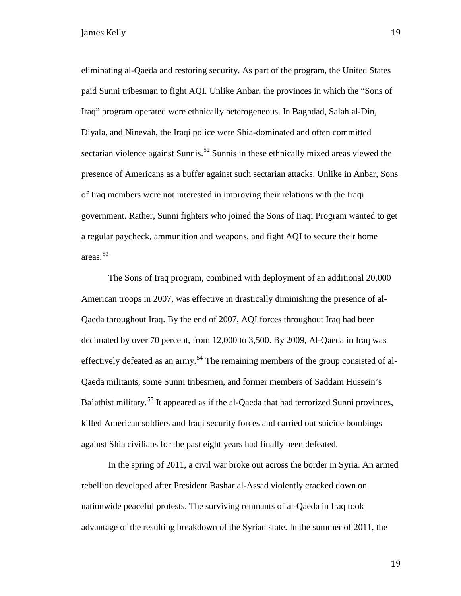eliminating al-Qaeda and restoring security. As part of the program, the United States paid Sunni tribesman to fight AQI. Unlike Anbar, the provinces in which the "Sons of Iraq" program operated were ethnically heterogeneous. In Baghdad, Salah al-Din, Diyala, and Ninevah, the Iraqi police were Shia-dominated and often committed sectarian violence against Sunnis.<sup>[52](#page-48-2)</sup> Sunnis in these ethnically mixed areas viewed the presence of Americans as a buffer against such sectarian attacks. Unlike in Anbar, Sons of Iraq members were not interested in improving their relations with the Iraqi government. Rather, Sunni fighters who joined the Sons of Iraqi Program wanted to get a regular paycheck, ammunition and weapons, and fight AQI to secure their home areas.[53](#page-48-3)

The Sons of Iraq program, combined with deployment of an additional 20,000 American troops in 2007, was effective in drastically diminishing the presence of al-Qaeda throughout Iraq. By the end of 2007, AQI forces throughout Iraq had been decimated by over 70 percent, from 12,000 to 3,500. By 2009, Al-Qaeda in Iraq was effectively defeated as an army.<sup>[54](#page-48-4)</sup> The remaining members of the group consisted of al-Qaeda militants, some Sunni tribesmen, and former members of Saddam Hussein's Ba'athist military.<sup>[55](#page-48-35)</sup> It appeared as if the al-Qaeda that had terrorized Sunni provinces, killed American soldiers and Iraqi security forces and carried out suicide bombings against Shia civilians for the past eight years had finally been defeated.

In the spring of 2011, a civil war broke out across the border in Syria. An armed rebellion developed after President Bashar al-Assad violently cracked down on nationwide peaceful protests. The surviving remnants of al-Qaeda in Iraq took advantage of the resulting breakdown of the Syrian state. In the summer of 2011, the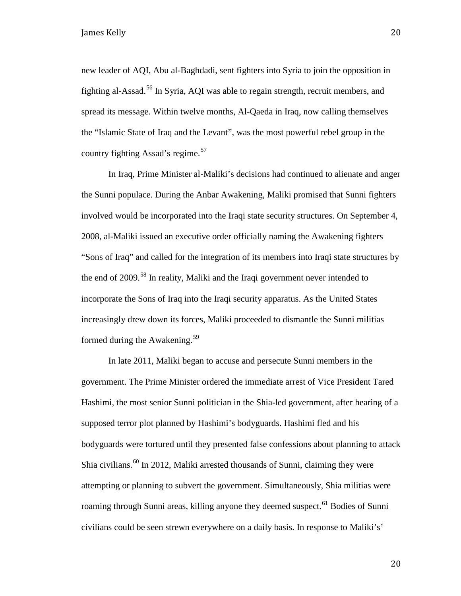new leader of AQI, Abu al-Baghdadi, sent fighters into Syria to join the opposition in fighting al-Assad.[56](#page-48-6) In Syria, AQI was able to regain strength, recruit members, and spread its message. Within twelve months, Al-Qaeda in Iraq, now calling themselves the "Islamic State of Iraq and the Levant", was the most powerful rebel group in the country fighting Assad's regime. $57$ 

In Iraq, Prime Minister al-Maliki's decisions had continued to alienate and anger the Sunni populace. During the Anbar Awakening, Maliki promised that Sunni fighters involved would be incorporated into the Iraqi state security structures. On September 4, 2008, al-Maliki issued an executive order officially naming the Awakening fighters "Sons of Iraq" and called for the integration of its members into Iraqi state structures by the end of 2009.<sup>[58](#page-48-8)</sup> In reality, Maliki and the Iraqi government never intended to incorporate the Sons of Iraq into the Iraqi security apparatus. As the United States increasingly drew down its forces, Maliki proceeded to dismantle the Sunni militias formed during the Awakening.<sup>[59](#page-48-10)</sup>

In late 2011, Maliki began to accuse and persecute Sunni members in the government. The Prime Minister ordered the immediate arrest of Vice President Tared Hashimi, the most senior Sunni politician in the Shia-led government, after hearing of a supposed terror plot planned by Hashimi's bodyguards. Hashimi fled and his bodyguards were tortured until they presented false confessions about planning to attack Shia civilians.<sup>[60](#page-48-11)</sup> In 2012, Maliki arrested thousands of Sunni, claiming they were attempting or planning to subvert the government. Simultaneously, Shia militias were roaming through Sunni areas, killing anyone they deemed suspect.<sup>[61](#page-48-12)</sup> Bodies of Sunni civilians could be seen strewn everywhere on a daily basis. In response to Maliki's'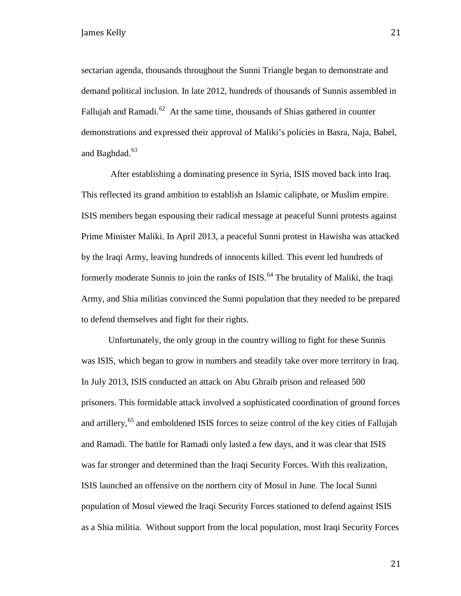sectarian agenda, thousands throughout the Sunni Triangle began to demonstrate and demand political inclusion. In late 2012, hundreds of thousands of Sunnis assembled in Fallujah and Ramadi. $62$  At the same time, thousands of Shias gathered in counter demonstrations and expressed their approval of Maliki's policies in Basra, Naja, Babel, and Baghdad.<sup>[63](#page-48-13)</sup>

After establishing a dominating presence in Syria, ISIS moved back into Iraq. This reflected its grand ambition to establish an Islamic caliphate, or Muslim empire. ISIS members began espousing their radical message at peaceful Sunni protests against Prime Minister Maliki. In April 2013, a peaceful Sunni protest in Hawisha was attacked by the Iraqi Army, leaving hundreds of innocents killed. This event led hundreds of formerly moderate Sunnis to join the ranks of  $ISS<sup>64</sup>$  $ISS<sup>64</sup>$  $ISS<sup>64</sup>$ . The brutality of Maliki, the Iraqi Army, and Shia militias convinced the Sunni population that they needed to be prepared to defend themselves and fight for their rights.

Unfortunately, the only group in the country willing to fight for these Sunnis was ISIS, which began to grow in numbers and steadily take over more territory in Iraq. In July 2013, ISIS conducted an attack on Abu Ghraib prison and released 500 prisoners. This formidable attack involved a sophisticated coordination of ground forces and artillery,<sup>[65](#page-48-14)</sup> and emboldened ISIS forces to seize control of the key cities of Fallujah and Ramadi. The battle for Ramadi only lasted a few days, and it was clear that ISIS was far stronger and determined than the Iraqi Security Forces. With this realization, ISIS launched an offensive on the northern city of Mosul in June. The local Sunni population of Mosul viewed the Iraqi Security Forces stationed to defend against ISIS as a Shia militia. Without support from the local population, most Iraqi Security Forces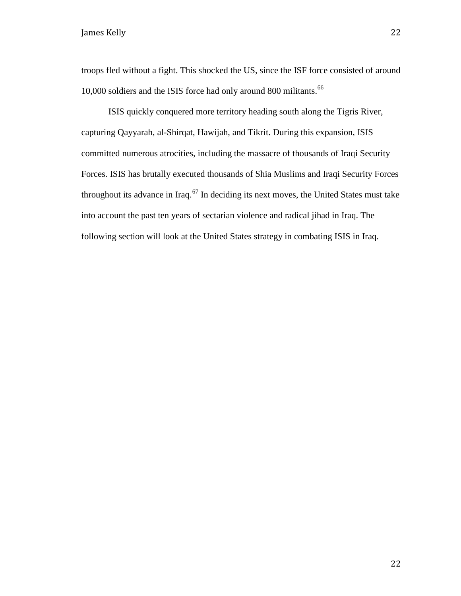troops fled without a fight. This shocked the US, since the ISF force consisted of around 10,000 soldiers and the ISIS force had only around 800 militants.<sup>[66](#page-48-16)</sup>

ISIS quickly conquered more territory heading south along the Tigris River, capturing Qayyarah, al-Shirqat, Hawijah, and Tikrit. During this expansion, ISIS committed numerous atrocities, including the massacre of thousands of Iraqi Security Forces. ISIS has brutally executed thousands of Shia Muslims and Iraqi Security Forces throughout its advance in Iraq. $67$  In deciding its next moves, the United States must take into account the past ten years of sectarian violence and radical jihad in Iraq. The following section will look at the United States strategy in combating ISIS in Iraq.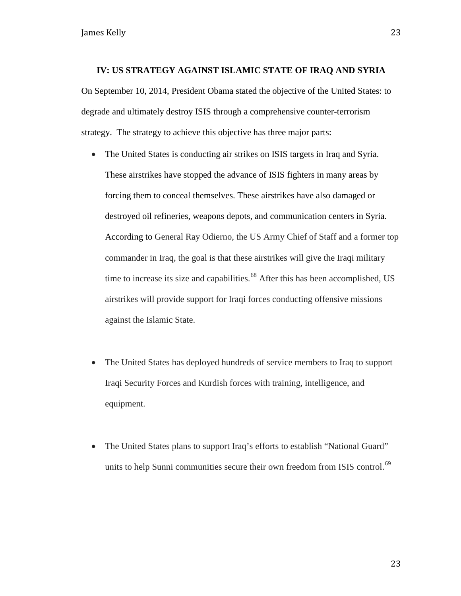#### **IV: US STRATEGY AGAINST ISLAMIC STATE OF IRAQ AND SYRIA**

On September 10, 2014, President Obama stated the objective of the United States: to degrade and ultimately destroy ISIS through a comprehensive counter-terrorism strategy. The strategy to achieve this objective has three major parts:

- The United States is conducting air strikes on ISIS targets in Iraq and Syria. These airstrikes have stopped the advance of ISIS fighters in many areas by forcing them to conceal themselves. These airstrikes have also damaged or destroyed oil refineries, weapons depots, and communication centers in Syria. According to General Ray Odierno, the US Army Chief of Staff and a former top commander in Iraq, the goal is that these airstrikes will give the Iraqi military time to increase its size and capabilities.<sup>[68](#page-48-20)</sup> After this has been accomplished, US airstrikes will provide support for Iraqi forces conducting offensive missions against the Islamic State.
- The United States has deployed hundreds of service members to Iraq to support Iraqi Security Forces and Kurdish forces with training, intelligence, and equipment.
- The United States plans to support Iraq's efforts to establish "National Guard" units to help Sunni communities secure their own freedom from ISIS control.<sup>[69](#page-48-22)</sup>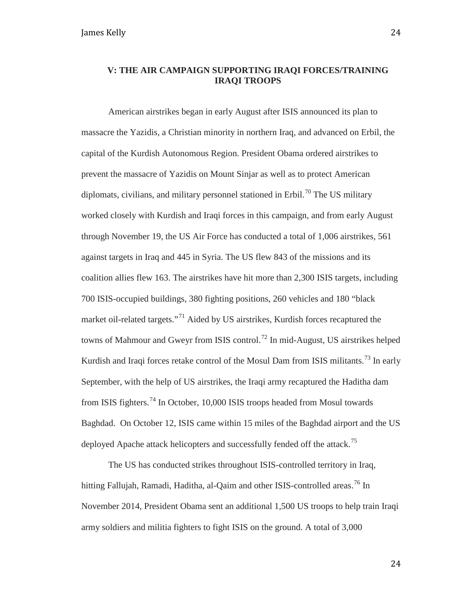#### **V: THE AIR CAMPAIGN SUPPORTING IRAQI FORCES/TRAINING IRAQI TROOPS**

American airstrikes began in early August after ISIS announced its plan to massacre the Yazidis, a Christian minority in northern Iraq, and advanced on Erbil, the capital of the Kurdish Autonomous Region. President Obama ordered airstrikes to prevent the massacre of Yazidis on Mount Sinjar as well as to protect American diplomats, civilians, and military personnel stationed in Erbil.<sup>[70](#page-48-24)</sup> The US military worked closely with Kurdish and Iraqi forces in this campaign, and from early August through November 19, the US Air Force has conducted a total of 1,006 airstrikes, 561 against targets in Iraq and 445 in Syria. The US flew 843 of the missions and its coalition allies flew 163. The airstrikes have hit more than 2,300 ISIS targets, including 700 ISIS-occupied buildings, 380 fighting positions, 260 vehicles and 180 "black market oil-related targets."<sup>[71](#page-48-26)</sup> Aided by US airstrikes, Kurdish forces recaptured the towns of Mahmour and Gweyr from ISIS control.<sup>[72](#page-48-38)</sup> In mid-August, US airstrikes helped Kurdish and Iraqi forces retake control of the Mosul Dam from ISIS militants.<sup>[73](#page-48-30)</sup> In early September, with the help of US airstrikes, the Iraqi army recaptured the Haditha dam from ISIS fighters.[74](#page-48-32) In October, 10,000 ISIS troops headed from Mosul towards Baghdad. On October 12, ISIS came within 15 miles of the Baghdad airport and the US deployed Apache attack helicopters and successfully fended off the attack.<sup>[75](#page-48-0)</sup>

The US has conducted strikes throughout ISIS-controlled territory in Iraq, hitting Fallujah, Ramadi, Haditha, al-Qaim and other ISIS-controlled areas.<sup>[76](#page-48-33)</sup> In November 2014, President Obama sent an additional 1,500 US troops to help train Iraqi army soldiers and militia fighters to fight ISIS on the ground. A total of 3,000

24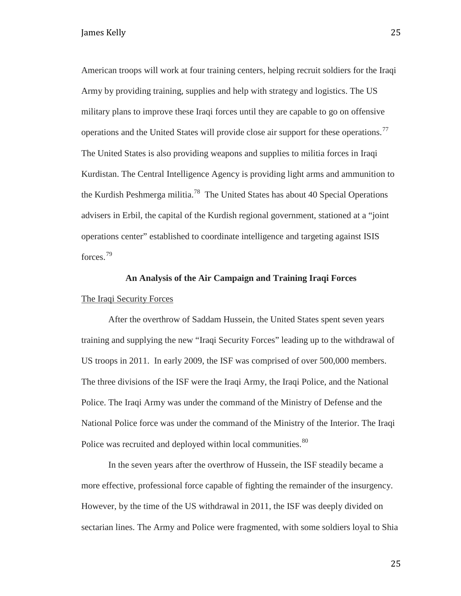American troops will work at four training centers, helping recruit soldiers for the Iraqi Army by providing training, supplies and help with strategy and logistics. The US military plans to improve these Iraqi forces until they are capable to go on offensive operations and the United States will provide close air support for these operations.<sup>[77](#page-48-2)</sup> The United States is also providing weapons and supplies to militia forces in Iraqi Kurdistan. The Central Intelligence Agency is providing light arms and ammunition to the Kurdish Peshmerga militia.<sup>78</sup> The United States has about 40 Special Operations advisers in Erbil, the capital of the Kurdish regional government, stationed at a "joint operations center" established to coordinate intelligence and targeting against ISIS forces.<sup>[79](#page-48-5)</sup>

## **An Analysis of the Air Campaign and Training Iraqi Forces** The Iraqi Security Forces

After the overthrow of Saddam Hussein, the United States spent seven years training and supplying the new "Iraqi Security Forces" leading up to the withdrawal of US troops in 2011. In early 2009, the ISF was comprised of over 500,000 members. The three divisions of the ISF were the Iraqi Army, the Iraqi Police, and the National Police. The Iraqi Army was under the command of the Ministry of Defense and the National Police force was under the command of the Ministry of the Interior. The Iraqi Police was recruited and deployed within local communities.<sup>[80](#page-48-6)</sup>

In the seven years after the overthrow of Hussein, the ISF steadily became a more effective, professional force capable of fighting the remainder of the insurgency. However, by the time of the US withdrawal in 2011, the ISF was deeply divided on sectarian lines. The Army and Police were fragmented, with some soldiers loyal to Shia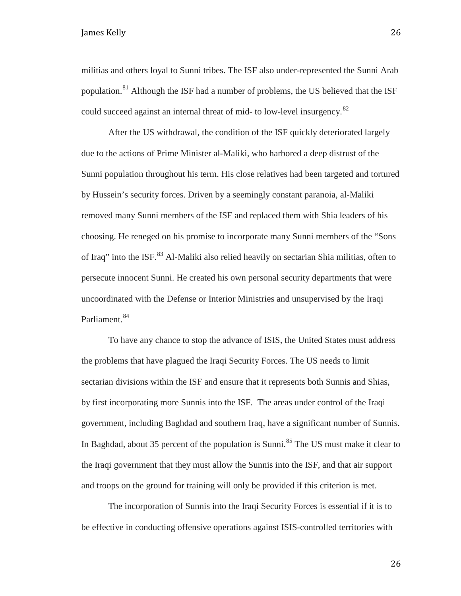militias and others loyal to Sunni tribes. The ISF also under-represented the Sunni Arab population.[81](#page-48-7) Although the ISF had a number of problems, the US believed that the ISF could succeed against an internal threat of mid- to low-level insurgency.<sup>[82](#page-48-8)</sup>

After the US withdrawal, the condition of the ISF quickly deteriorated largely due to the actions of Prime Minister al-Maliki, who harbored a deep distrust of the Sunni population throughout his term. His close relatives had been targeted and tortured by Hussein's security forces. Driven by a seemingly constant paranoia, al-Maliki removed many Sunni members of the ISF and replaced them with Shia leaders of his choosing. He reneged on his promise to incorporate many Sunni members of the "Sons of Iraq" into the ISF.<sup>[83](#page-48-10)</sup> Al-Maliki also relied heavily on sectarian Shia militias, often to persecute innocent Sunni. He created his own personal security departments that were uncoordinated with the Defense or Interior Ministries and unsupervised by the Iraqi Parliament.<sup>[84](#page-48-40)</sup>

To have any chance to stop the advance of ISIS, the United States must address the problems that have plagued the Iraqi Security Forces. The US needs to limit sectarian divisions within the ISF and ensure that it represents both Sunnis and Shias, by first incorporating more Sunnis into the ISF. The areas under control of the Iraqi government, including Baghdad and southern Iraq, have a significant number of Sunnis. In Baghdad, about 35 percent of the population is Sunni.<sup>[85](#page-48-41)</sup> The US must make it clear to the Iraqi government that they must allow the Sunnis into the ISF, and that air support and troops on the ground for training will only be provided if this criterion is met.

The incorporation of Sunnis into the Iraqi Security Forces is essential if it is to be effective in conducting offensive operations against ISIS-controlled territories with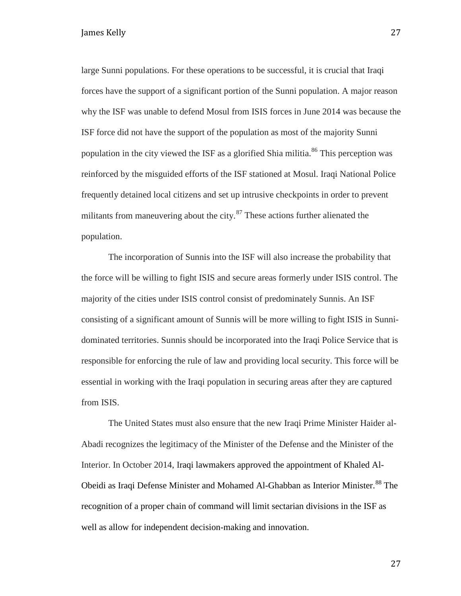large Sunni populations. For these operations to be successful, it is crucial that Iraqi forces have the support of a significant portion of the Sunni population. A major reason why the ISF was unable to defend Mosul from ISIS forces in June 2014 was because the ISF force did not have the support of the population as most of the majority Sunni population in the city viewed the ISF as a glorified Shia militia.<sup>[86](#page-48-42)</sup> This perception was reinforced by the misguided efforts of the ISF stationed at Mosul. Iraqi National Police frequently detained local citizens and set up intrusive checkpoints in order to prevent militants from maneuvering about the city. $87$  These actions further alienated the population.

The incorporation of Sunnis into the ISF will also increase the probability that the force will be willing to fight ISIS and secure areas formerly under ISIS control. The majority of the cities under ISIS control consist of predominately Sunnis. An ISF consisting of a significant amount of Sunnis will be more willing to fight ISIS in Sunnidominated territories. Sunnis should be incorporated into the Iraqi Police Service that is responsible for enforcing the rule of law and providing local security. This force will be essential in working with the Iraqi population in securing areas after they are captured from ISIS.

The United States must also ensure that the new Iraqi Prime Minister Haider al-Abadi recognizes the legitimacy of the Minister of the Defense and the Minister of the Interior. In October 2014, Iraqi lawmakers approved the appointment of Khaled Al-Obeidi as Iraqi Defense Minister and Mohamed Al-Ghabban as Interior Minister.<sup>[88](#page-48-43)</sup> The recognition of a proper chain of command will limit sectarian divisions in the ISF as well as allow for independent decision-making and innovation.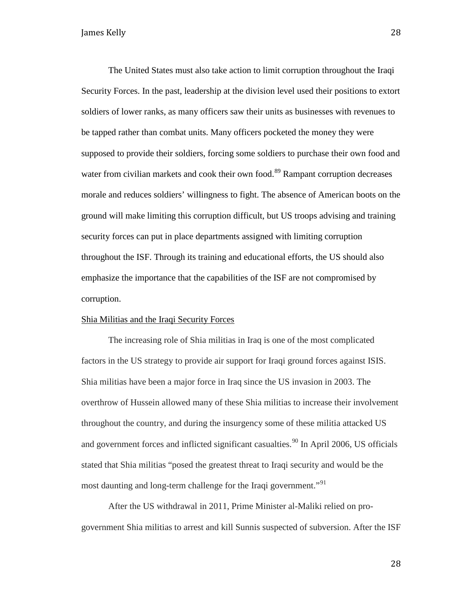The United States must also take action to limit corruption throughout the Iraqi Security Forces. In the past, leadership at the division level used their positions to extort soldiers of lower ranks, as many officers saw their units as businesses with revenues to be tapped rather than combat units. Many officers pocketed the money they were supposed to provide their soldiers, forcing some soldiers to purchase their own food and water from civilian markets and cook their own food.<sup>[89](#page-48-44)</sup> Rampant corruption decreases morale and reduces soldiers' willingness to fight. The absence of American boots on the ground will make limiting this corruption difficult, but US troops advising and training security forces can put in place departments assigned with limiting corruption throughout the ISF. Through its training and educational efforts, the US should also emphasize the importance that the capabilities of the ISF are not compromised by corruption.

#### Shia Militias and the Iraqi Security Forces

The increasing role of Shia militias in Iraq is one of the most complicated factors in the US strategy to provide air support for Iraqi ground forces against ISIS. Shia militias have been a major force in Iraq since the US invasion in 2003. The overthrow of Hussein allowed many of these Shia militias to increase their involvement throughout the country, and during the insurgency some of these militia attacked US and government forces and inflicted significant casualties.<sup>[90](#page-48-22)</sup> In April 2006, US officials stated that Shia militias "posed the greatest threat to Iraqi security and would be the most daunting and long-term challenge for the Iraqi government."<sup>[91](#page-48-45)</sup>

After the US withdrawal in 2011, Prime Minister al-Maliki relied on progovernment Shia militias to arrest and kill Sunnis suspected of subversion. After the ISF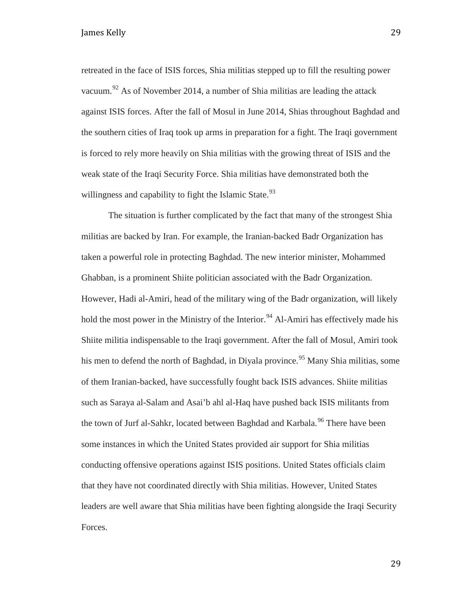retreated in the face of ISIS forces, Shia militias stepped up to fill the resulting power vacuum.<sup>[92](#page-48-26)</sup> As of November 2014, a number of Shia militias are leading the attack against ISIS forces. After the fall of Mosul in June 2014, Shias throughout Baghdad and the southern cities of Iraq took up arms in preparation for a fight. The Iraqi government is forced to rely more heavily on Shia militias with the growing threat of ISIS and the weak state of the Iraqi Security Force. Shia militias have demonstrated both the willingness and capability to fight the Islamic State. $93$ 

The situation is further complicated by the fact that many of the strongest Shia militias are backed by Iran. For example, the Iranian-backed Badr Organization has taken a powerful role in protecting Baghdad. The new interior minister, Mohammed Ghabban, is a prominent Shiite politician associated with the Badr Organization. However, Hadi al-Amiri, head of the military wing of the Badr organization, will likely hold the most power in the Ministry of the Interior.<sup>[94](#page-48-47)</sup> Al-Amiri has effectively made his Shiite militia indispensable to the Iraqi government. After the fall of Mosul, Amiri took his men to defend the north of Baghdad, in Diyala province.<sup>[95](#page-48-30)</sup> Many Shia militias, some of them Iranian-backed, have successfully fought back ISIS advances. Shiite militias such as Saraya al-Salam and Asai'b ahl al-Haq have pushed back ISIS militants from the town of Jurf al-Sahkr, located between Baghdad and Karbala.<sup>[96](#page-48-48)</sup> There have been some instances in which the United States provided air support for Shia militias conducting offensive operations against ISIS positions. United States officials claim that they have not coordinated directly with Shia militias. However, United States leaders are well aware that Shia militias have been fighting alongside the Iraqi Security Forces.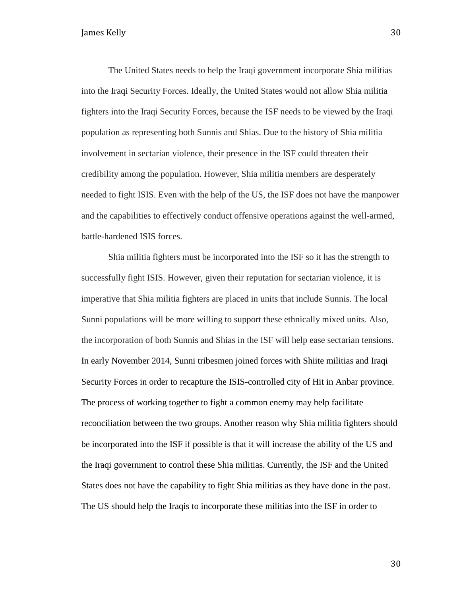The United States needs to help the Iraqi government incorporate Shia militias into the Iraqi Security Forces. Ideally, the United States would not allow Shia militia fighters into the Iraqi Security Forces, because the ISF needs to be viewed by the Iraqi population as representing both Sunnis and Shias. Due to the history of Shia militia involvement in sectarian violence, their presence in the ISF could threaten their credibility among the population. However, Shia militia members are desperately needed to fight ISIS. Even with the help of the US, the ISF does not have the manpower and the capabilities to effectively conduct offensive operations against the well-armed, battle-hardened ISIS forces.

Shia militia fighters must be incorporated into the ISF so it has the strength to successfully fight ISIS. However, given their reputation for sectarian violence, it is imperative that Shia militia fighters are placed in units that include Sunnis. The local Sunni populations will be more willing to support these ethnically mixed units. Also, the incorporation of both Sunnis and Shias in the ISF will help ease sectarian tensions. In early November 2014, Sunni tribesmen joined forces with Shiite militias and Iraqi Security Forces in order to recapture the ISIS-controlled city of Hit in Anbar province. The process of working together to fight a common enemy may help facilitate reconciliation between the two groups. Another reason why Shia militia fighters should be incorporated into the ISF if possible is that it will increase the ability of the US and the Iraqi government to control these Shia militias. Currently, the ISF and the United States does not have the capability to fight Shia militias as they have done in the past. The US should help the Iraqis to incorporate these militias into the ISF in order to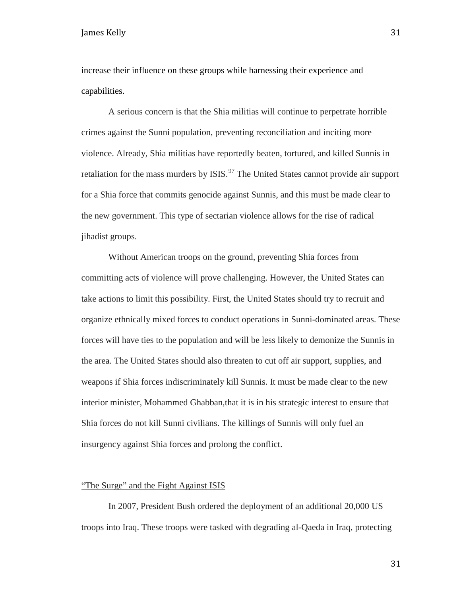increase their influence on these groups while harnessing their experience and capabilities.

A serious concern is that the Shia militias will continue to perpetrate horrible crimes against the Sunni population, preventing reconciliation and inciting more violence. Already, Shia militias have reportedly beaten, tortured, and killed Sunnis in retaliation for the mass murders by ISIS.<sup>[97](#page-48-33)</sup> The United States cannot provide air support for a Shia force that commits genocide against Sunnis, and this must be made clear to the new government. This type of sectarian violence allows for the rise of radical jihadist groups.

Without American troops on the ground, preventing Shia forces from committing acts of violence will prove challenging. However, the United States can take actions to limit this possibility. First, the United States should try to recruit and organize ethnically mixed forces to conduct operations in Sunni-dominated areas. These forces will have ties to the population and will be less likely to demonize the Sunnis in the area. The United States should also threaten to cut off air support, supplies, and weapons if Shia forces indiscriminately kill Sunnis. It must be made clear to the new interior minister, Mohammed Ghabban,that it is in his strategic interest to ensure that Shia forces do not kill Sunni civilians. The killings of Sunnis will only fuel an insurgency against Shia forces and prolong the conflict.

#### "The Surge" and the Fight Against ISIS

In 2007, President Bush ordered the deployment of an additional 20,000 US troops into Iraq. These troops were tasked with degrading al-Qaeda in Iraq, protecting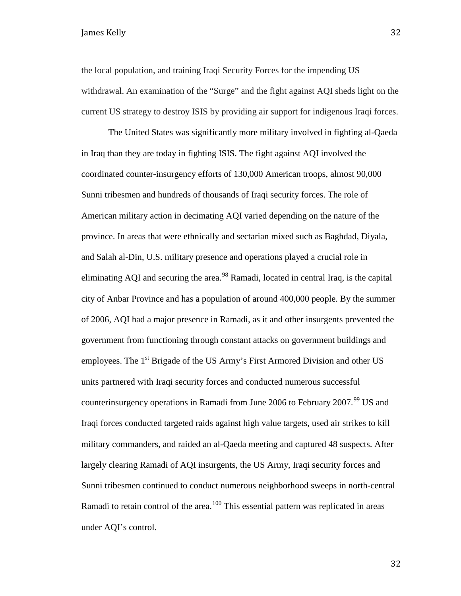the local population, and training Iraqi Security Forces for the impending US withdrawal. An examination of the "Surge" and the fight against AQI sheds light on the current US strategy to destroy ISIS by providing air support for indigenous Iraqi forces.

The United States was significantly more military involved in fighting al-Qaeda in Iraq than they are today in fighting ISIS. The fight against AQI involved the coordinated counter-insurgency efforts of 130,000 American troops, almost 90,000 Sunni tribesmen and hundreds of thousands of Iraqi security forces. The role of American military action in decimating AQI varied depending on the nature of the province. In areas that were ethnically and sectarian mixed such as Baghdad, Diyala, and Salah al-Din, U.S. military presence and operations played a crucial role in eliminating AQI and securing the area.<sup>[98](#page-48-3)</sup> Ramadi, located in central Iraq, is the capital city of Anbar Province and has a population of around 400,000 people. By the summer of 2006, AQI had a major presence in Ramadi, as it and other insurgents prevented the government from functioning through constant attacks on government buildings and employees. The  $1<sup>st</sup>$  Brigade of the US Army's First Armored Division and other US units partnered with Iraqi security forces and conducted numerous successful counterinsurgency operations in Ramadi from June 2006 to February 2007.<sup>[99](#page-48-49)</sup> US and Iraqi forces conducted targeted raids against high value targets, used air strikes to kill military commanders, and raided an al-Qaeda meeting and captured 48 suspects. After largely clearing Ramadi of AQI insurgents, the US Army, Iraqi security forces and Sunni tribesmen continued to conduct numerous neighborhood sweeps in north-central Ramadi to retain control of the area.<sup>[100](#page-48-6)</sup> This essential pattern was replicated in areas under AQI's control.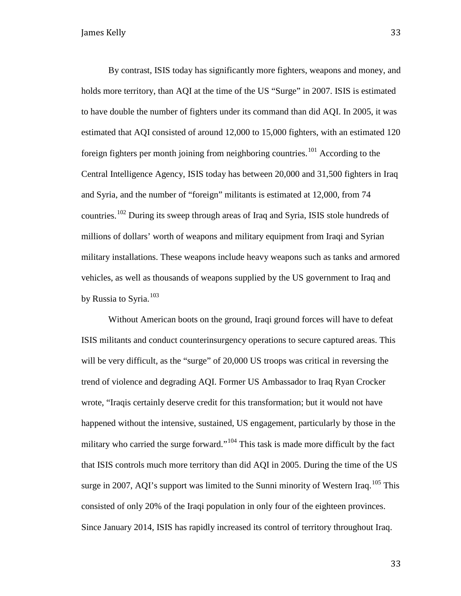By contrast, ISIS today has significantly more fighters, weapons and money, and holds more territory, than AQI at the time of the US "Surge" in 2007. ISIS is estimated to have double the number of fighters under its command than did AQI. In 2005, it was estimated that AQI consisted of around 12,000 to 15,000 fighters, with an estimated 120 foreign fighters per month joining from neighboring countries.<sup>[101](#page-48-50)</sup> According to the Central Intelligence Agency, ISIS today has between 20,000 and 31,500 fighters in Iraq and Syria, and the number of "foreign" militants is estimated at 12,000, from 74 countries.[102](#page-48-10) During its sweep through areas of Iraq and Syria, ISIS stole hundreds of millions of dollars' worth of weapons and military equipment from Iraqi and Syrian military installations. These weapons include heavy weapons such as tanks and armored vehicles, as well as thousands of weapons supplied by the US government to Iraq and by Russia to Syria.<sup>[103](#page-48-11)</sup>

Without American boots on the ground, Iraqi ground forces will have to defeat ISIS militants and conduct counterinsurgency operations to secure captured areas. This will be very difficult, as the "surge" of 20,000 US troops was critical in reversing the trend of violence and degrading AQI. Former US Ambassador to Iraq Ryan Crocker wrote, "Iraqis certainly deserve credit for this transformation; but it would not have happened without the intensive, sustained, US engagement, particularly by those in the military who carried the surge forward."<sup>[104](#page-48-36)</sup> This task is made more difficult by the fact that ISIS controls much more territory than did AQI in 2005. During the time of the US surge in 2007, AQI's support was limited to the Sunni minority of Western Iraq.<sup>[105](#page-48-13)</sup> This consisted of only 20% of the Iraqi population in only four of the eighteen provinces. Since January 2014, ISIS has rapidly increased its control of territory throughout Iraq.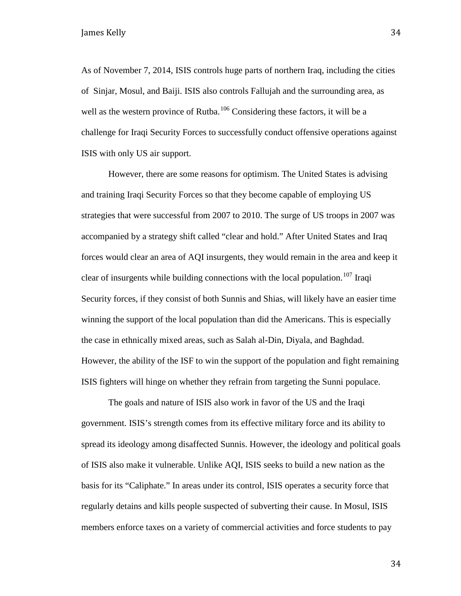As of November 7, 2014, ISIS controls huge parts of northern Iraq, including the cities of Sinjar, Mosul, and Baiji. ISIS also controls Fallujah and the surrounding area, as well as the western province of Rutba.<sup>[106](#page-48-14)</sup> Considering these factors, it will be a challenge for Iraqi Security Forces to successfully conduct offensive operations against ISIS with only US air support.

However, there are some reasons for optimism. The United States is advising and training Iraqi Security Forces so that they become capable of employing US strategies that were successful from 2007 to 2010. The surge of US troops in 2007 was accompanied by a strategy shift called "clear and hold." After United States and Iraq forces would clear an area of AQI insurgents, they would remain in the area and keep it clear of insurgents while building connections with the local population.<sup>[107](#page-48-16)</sup> Iraqi Security forces, if they consist of both Sunnis and Shias, will likely have an easier time winning the support of the local population than did the Americans. This is especially the case in ethnically mixed areas, such as Salah al-Din, Diyala, and Baghdad. However, the ability of the ISF to win the support of the population and fight remaining ISIS fighters will hinge on whether they refrain from targeting the Sunni populace.

The goals and nature of ISIS also work in favor of the US and the Iraqi government. ISIS's strength comes from its effective military force and its ability to spread its ideology among disaffected Sunnis. However, the ideology and political goals of ISIS also make it vulnerable. Unlike AQI, ISIS seeks to build a new nation as the basis for its "Caliphate." In areas under its control, ISIS operates a security force that regularly detains and kills people suspected of subverting their cause. In Mosul, ISIS members enforce taxes on a variety of commercial activities and force students to pay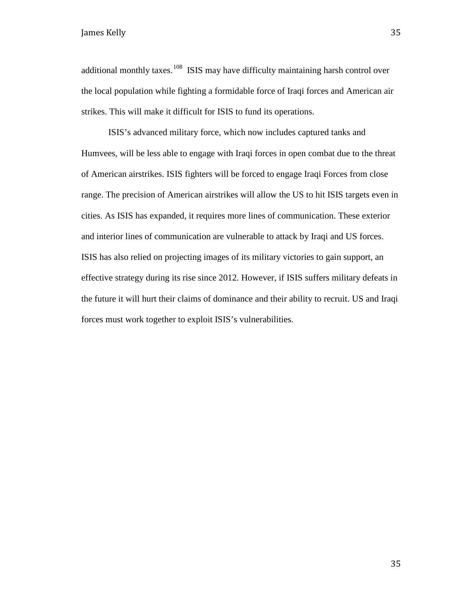additional monthly taxes.<sup>[108](#page-48-18)</sup> ISIS may have difficulty maintaining harsh control over the local population while fighting a formidable force of Iraqi forces and American air strikes. This will make it difficult for ISIS to fund its operations.

ISIS's advanced military force, which now includes captured tanks and Humvees, will be less able to engage with Iraqi forces in open combat due to the threat of American airstrikes. ISIS fighters will be forced to engage Iraqi Forces from close range. The precision of American airstrikes will allow the US to hit ISIS targets even in cities. As ISIS has expanded, it requires more lines of communication. These exterior and interior lines of communication are vulnerable to attack by Iraqi and US forces. ISIS has also relied on projecting images of its military victories to gain support, an effective strategy during its rise since 2012. However, if ISIS suffers military defeats in the future it will hurt their claims of dominance and their ability to recruit. US and Iraqi forces must work together to exploit ISIS's vulnerabilities.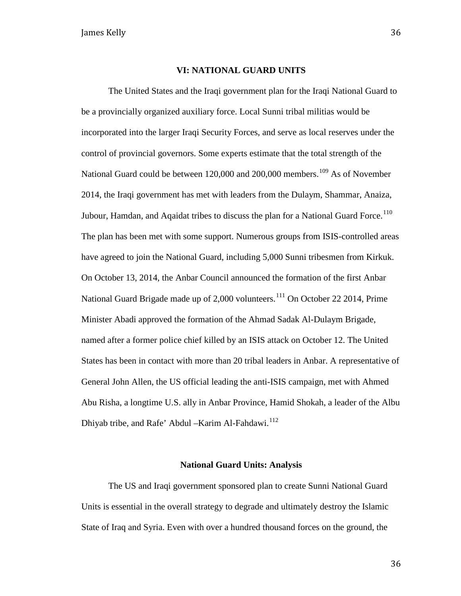#### **VI: NATIONAL GUARD UNITS**

The United States and the Iraqi government plan for the Iraqi National Guard to be a provincially organized auxiliary force. Local Sunni tribal militias would be incorporated into the larger Iraqi Security Forces, and serve as local reserves under the control of provincial governors. Some experts estimate that the total strength of the National Guard could be between 120,000 and 200,000 members.<sup>[109](#page-48-20)</sup> As of November 2014, the Iraqi government has met with leaders from the Dulaym, Shammar, Anaiza, Jubour, Hamdan, and Aqaidat tribes to discuss the plan for a National Guard Force.<sup>[110](#page-48-22)</sup> The plan has been met with some support. Numerous groups from ISIS-controlled areas have agreed to join the National Guard, including 5,000 Sunni tribesmen from Kirkuk. On October 13, 2014, the Anbar Council announced the formation of the first Anbar National Guard Brigade made up of 2,000 volunteers.<sup>[111](#page-48-24)</sup> On October 22 2014, Prime Minister Abadi approved the formation of the Ahmad Sadak Al-Dulaym Brigade, named after a former police chief killed by an ISIS attack on October 12. The United States has been in contact with more than 20 tribal leaders in Anbar. A representative of General John Allen, the US official leading the anti-ISIS campaign, met with Ahmed Abu Risha, a longtime U.S. ally in Anbar Province, Hamid Shokah, a leader of the Albu Dhiyab tribe, and Rafe' Abdul – Karim Al-Fahdawi.<sup>[112](#page-48-26)</sup>

#### **National Guard Units: Analysis**

The US and Iraqi government sponsored plan to create Sunni National Guard Units is essential in the overall strategy to degrade and ultimately destroy the Islamic State of Iraq and Syria. Even with over a hundred thousand forces on the ground, the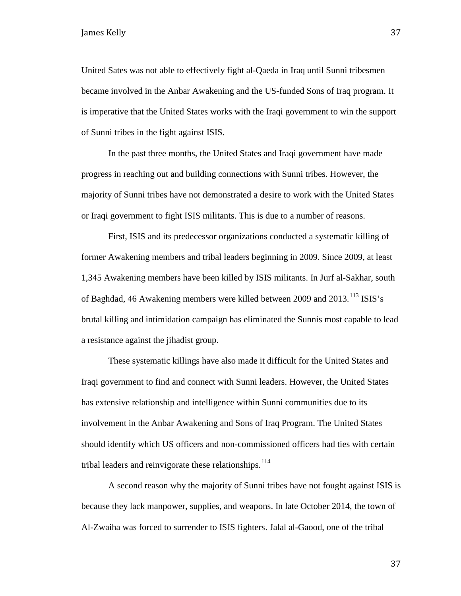United Sates was not able to effectively fight al-Qaeda in Iraq until Sunni tribesmen became involved in the Anbar Awakening and the US-funded Sons of Iraq program. It is imperative that the United States works with the Iraqi government to win the support of Sunni tribes in the fight against ISIS.

In the past three months, the United States and Iraqi government have made progress in reaching out and building connections with Sunni tribes. However, the majority of Sunni tribes have not demonstrated a desire to work with the United States or Iraqi government to fight ISIS militants. This is due to a number of reasons.

First, ISIS and its predecessor organizations conducted a systematic killing of former Awakening members and tribal leaders beginning in 2009. Since 2009, at least 1,345 Awakening members have been killed by ISIS militants. In Jurf al-Sakhar, south of Baghdad, 46 Awakening members were killed between 2009 and 2013.<sup>[113](#page-48-51)</sup> ISIS's brutal killing and intimidation campaign has eliminated the Sunnis most capable to lead a resistance against the jihadist group.

These systematic killings have also made it difficult for the United States and Iraqi government to find and connect with Sunni leaders. However, the United States has extensive relationship and intelligence within Sunni communities due to its involvement in the Anbar Awakening and Sons of Iraq Program. The United States should identify which US officers and non-commissioned officers had ties with certain tribal leaders and reinvigorate these relationships. $114$ 

A second reason why the majority of Sunni tribes have not fought against ISIS is because they lack manpower, supplies, and weapons. In late October 2014, the town of Al-Zwaiha was forced to surrender to ISIS fighters. Jalal al-Gaood, one of the tribal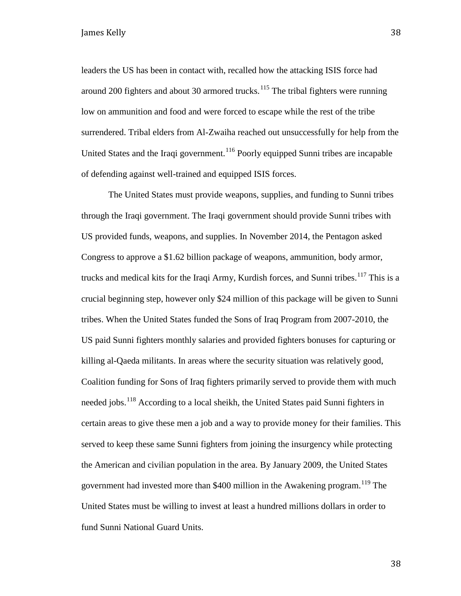leaders the US has been in contact with, recalled how the attacking ISIS force had around 200 fighters and about 30 armored trucks.<sup>[115](#page-48-29)</sup> The tribal fighters were running low on ammunition and food and were forced to escape while the rest of the tribe surrendered. Tribal elders from Al-Zwaiha reached out unsuccessfully for help from the United States and the Iraqi government.<sup>[116](#page-48-31)</sup> Poorly equipped Sunni tribes are incapable of defending against well-trained and equipped ISIS forces.

The United States must provide weapons, supplies, and funding to Sunni tribes through the Iraqi government. The Iraqi government should provide Sunni tribes with US provided funds, weapons, and supplies. In November 2014, the Pentagon asked Congress to approve a \$1.62 billion package of weapons, ammunition, body armor, trucks and medical kits for the Iraqi Army, Kurdish forces, and Sunni tribes.<sup>[117](#page-48-52)</sup> This is a crucial beginning step, however only \$24 million of this package will be given to Sunni tribes. When the United States funded the Sons of Iraq Program from 2007-2010, the US paid Sunni fighters monthly salaries and provided fighters bonuses for capturing or killing al-Qaeda militants. In areas where the security situation was relatively good, Coalition funding for Sons of Iraq fighters primarily served to provide them with much needed jobs.<sup>[118](#page-48-33)</sup> According to a local sheikh, the United States paid Sunni fighters in certain areas to give these men a job and a way to provide money for their families. This served to keep these same Sunni fighters from joining the insurgency while protecting the American and civilian population in the area. By January 2009, the United States government had invested more than \$400 million in the Awakening program.<sup>[119](#page-48-34)</sup> The United States must be willing to invest at least a hundred millions dollars in order to fund Sunni National Guard Units.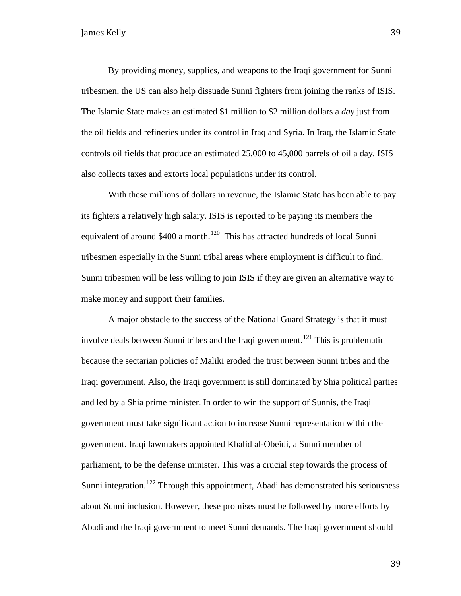By providing money, supplies, and weapons to the Iraqi government for Sunni tribesmen, the US can also help dissuade Sunni fighters from joining the ranks of ISIS. The Islamic State makes an estimated \$1 million to \$2 million dollars a *day* just from the oil fields and refineries under its control in Iraq and Syria. In Iraq, the Islamic State controls oil fields that produce an estimated 25,000 to 45,000 barrels of oil a day. ISIS also collects taxes and extorts local populations under its control.

With these millions of dollars in revenue, the Islamic State has been able to pay its fighters a relatively high salary. ISIS is reported to be paying its members the equivalent of around  $$400$  a month.<sup>[120](#page-48-3)</sup> This has attracted hundreds of local Sunni tribesmen especially in the Sunni tribal areas where employment is difficult to find. Sunni tribesmen will be less willing to join ISIS if they are given an alternative way to make money and support their families.

A major obstacle to the success of the National Guard Strategy is that it must involve deals between Sunni tribes and the Iraqi government.<sup>[121](#page-48-4)</sup> This is problematic because the sectarian policies of Maliki eroded the trust between Sunni tribes and the Iraqi government. Also, the Iraqi government is still dominated by Shia political parties and led by a Shia prime minister. In order to win the support of Sunnis, the Iraqi government must take significant action to increase Sunni representation within the government. Iraqi lawmakers appointed Khalid al-Obeidi, a Sunni member of parliament, to be the defense minister. This was a crucial step towards the process of Sunni integration.<sup>[122](#page-48-5)</sup> Through this appointment, Abadi has demonstrated his seriousness about Sunni inclusion. However, these promises must be followed by more efforts by Abadi and the Iraqi government to meet Sunni demands. The Iraqi government should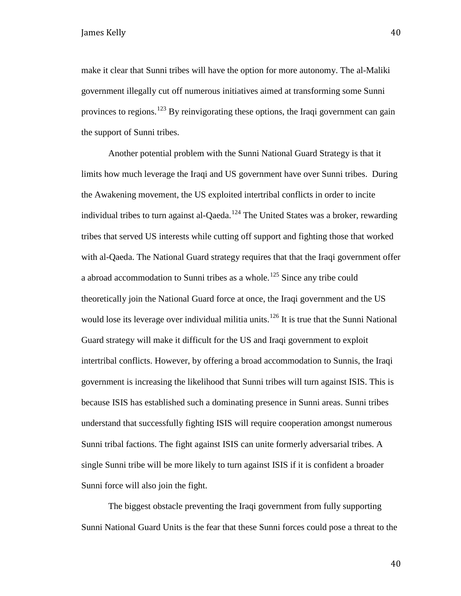make it clear that Sunni tribes will have the option for more autonomy. The al-Maliki government illegally cut off numerous initiatives aimed at transforming some Sunni provinces to regions.<sup>[123](#page-48-6)</sup> By reinvigorating these options, the Iraqi government can gain the support of Sunni tribes.

Another potential problem with the Sunni National Guard Strategy is that it limits how much leverage the Iraqi and US government have over Sunni tribes. During the Awakening movement, the US exploited intertribal conflicts in order to incite individual tribes to turn against al-Qaeda.<sup>[124](#page-48-9)</sup> The United States was a broker, rewarding tribes that served US interests while cutting off support and fighting those that worked with al-Qaeda. The National Guard strategy requires that that the Iraqi government offer a abroad accommodation to Sunni tribes as a whole.<sup>[125](#page-48-10)</sup> Since any tribe could theoretically join the National Guard force at once, the Iraqi government and the US would lose its leverage over individual militia units.<sup>[126](#page-48-11)</sup> It is true that the Sunni National Guard strategy will make it difficult for the US and Iraqi government to exploit intertribal conflicts. However, by offering a broad accommodation to Sunnis, the Iraqi government is increasing the likelihood that Sunni tribes will turn against ISIS. This is because ISIS has established such a dominating presence in Sunni areas. Sunni tribes understand that successfully fighting ISIS will require cooperation amongst numerous Sunni tribal factions. The fight against ISIS can unite formerly adversarial tribes. A single Sunni tribe will be more likely to turn against ISIS if it is confident a broader Sunni force will also join the fight.

The biggest obstacle preventing the Iraqi government from fully supporting Sunni National Guard Units is the fear that these Sunni forces could pose a threat to the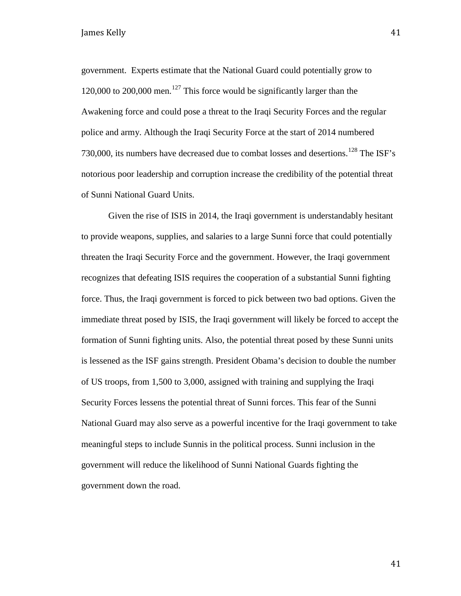government. Experts estimate that the National Guard could potentially grow to 120,000 to 200,000 men.<sup>[127](#page-48-13)</sup> This force would be significantly larger than the Awakening force and could pose a threat to the Iraqi Security Forces and the regular police and army. Although the Iraqi Security Force at the start of 2014 numbered 730,000, its numbers have decreased due to combat losses and desertions.<sup>[128](#page-48-14)</sup> The ISF's notorious poor leadership and corruption increase the credibility of the potential threat of Sunni National Guard Units.

Given the rise of ISIS in 2014, the Iraqi government is understandably hesitant to provide weapons, supplies, and salaries to a large Sunni force that could potentially threaten the Iraqi Security Force and the government. However, the Iraqi government recognizes that defeating ISIS requires the cooperation of a substantial Sunni fighting force. Thus, the Iraqi government is forced to pick between two bad options. Given the immediate threat posed by ISIS, the Iraqi government will likely be forced to accept the formation of Sunni fighting units. Also, the potential threat posed by these Sunni units is lessened as the ISF gains strength. President Obama's decision to double the number of US troops, from 1,500 to 3,000, assigned with training and supplying the Iraqi Security Forces lessens the potential threat of Sunni forces. This fear of the Sunni National Guard may also serve as a powerful incentive for the Iraqi government to take meaningful steps to include Sunnis in the political process. Sunni inclusion in the government will reduce the likelihood of Sunni National Guards fighting the government down the road.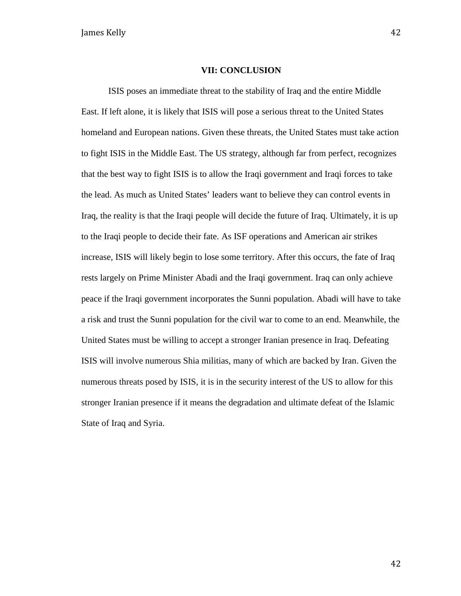#### **VII: CONCLUSION**

ISIS poses an immediate threat to the stability of Iraq and the entire Middle East. If left alone, it is likely that ISIS will pose a serious threat to the United States homeland and European nations. Given these threats, the United States must take action to fight ISIS in the Middle East. The US strategy, although far from perfect, recognizes that the best way to fight ISIS is to allow the Iraqi government and Iraqi forces to take the lead. As much as United States' leaders want to believe they can control events in Iraq, the reality is that the Iraqi people will decide the future of Iraq. Ultimately, it is up to the Iraqi people to decide their fate. As ISF operations and American air strikes increase, ISIS will likely begin to lose some territory. After this occurs, the fate of Iraq rests largely on Prime Minister Abadi and the Iraqi government. Iraq can only achieve peace if the Iraqi government incorporates the Sunni population. Abadi will have to take a risk and trust the Sunni population for the civil war to come to an end. Meanwhile, the United States must be willing to accept a stronger Iranian presence in Iraq. Defeating ISIS will involve numerous Shia militias, many of which are backed by Iran. Given the numerous threats posed by ISIS, it is in the security interest of the US to allow for this stronger Iranian presence if it means the degradation and ultimate defeat of the Islamic State of Iraq and Syria.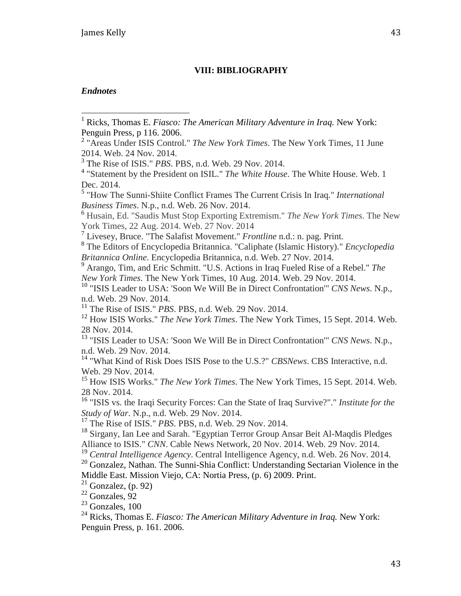#### **VIII: BIBLIOGRAPHY**

#### *Endnotes*

<sup>6</sup> Husain, Ed. "Saudis Must Stop Exporting Extremism." *The New York Times*. The New York Times, 22 Aug. 2014. Web. 27 Nov. 2014

<sup>7</sup> Livesey, Bruce. "The Salafist Movement." *Frontline* n.d.: n. pag. Print.

<sup>8</sup> The Editors of Encyclopedia Britannica. "Caliphate (Islamic History)." *Encyclopedia Britannica Online*. Encyclopedia Britannica, n.d. Web. 27 Nov. 2014.

<sup>9</sup> Arango, Tim, and Eric Schmitt. "U.S. Actions in Iraq Fueled Rise of a Rebel." *The New York Times*. The New York Times, 10 Aug. 2014. Web. 29 Nov. 2014.

<sup>10</sup> "ISIS Leader to USA: 'Soon We Will Be in Direct Confrontation'" *CNS News*. N.p., n.d. Web. 29 Nov. 2014.

<sup>11</sup> The Rise of ISIS." *PBS*. PBS, n.d. Web. 29 Nov. 2014.

<sup>12</sup> How ISIS Works." *The New York Times*. The New York Times, 15 Sept. 2014. Web. 28 Nov. 2014.

<sup>13</sup> "ISIS Leader to USA: 'Soon We Will Be in Direct Confrontation'" *CNS News*. N.p., n.d. Web. 29 Nov. 2014.

<sup>14</sup> "What Kind of Risk Does ISIS Pose to the U.S.?" *CBSNews*. CBS Interactive, n.d. Web. 29 Nov. 2014.

<sup>15</sup> How ISIS Works." *The New York Times*. The New York Times, 15 Sept. 2014. Web. 28 Nov. 2014.

<sup>16</sup> "ISIS vs. the Iraqi Security Forces: Can the State of Iraq Survive?"." *Institute for the Study of War*. N.p., n.d. Web. 29 Nov. 2014.

<sup>17</sup> The Rise of ISIS." *PBS*. PBS, n.d. Web. 29 Nov. 2014.

<sup>18</sup> Sirgany, Ian Lee and Sarah. "Egyptian Terror Group Ansar Beit Al-Maqdis Pledges Alliance to ISIS." *CNN*. Cable News Network, 20 Nov. 2014. Web. 29 Nov. 2014.

<sup>19</sup> *Central Intelligence Agency*. Central Intelligence Agency, n.d. Web. 26 Nov. 2014.

<sup>20</sup> Gonzalez, Nathan. The Sunni-Shia Conflict: Understanding Sectarian Violence in the Middle East. Mission Viejo, CA: Nortia Press, (p. 6) 2009. Print.

 $21$  Gonzalez, (p. 92)

 $22$  Gonzales, 92

 $23$  Gonzales, 100

<sup>24</sup> Ricks, Thomas E. *Fiasco: The American Military Adventure in Iraq.* New York: Penguin Press, p. 161. 2006.

<span id="page-43-0"></span><sup>&</sup>lt;sup>1</sup> Ricks, Thomas E. *Fiasco: The American Military Adventure in Iraq*. New York: Penguin Press, p 116. 2006.  $\overline{1}$ 

<sup>2</sup> "Areas Under ISIS Control." *The New York Times*. The New York Times, 11 June 2014. Web. 24 Nov. 2014.

<sup>3</sup> The Rise of ISIS." *PBS*. PBS, n.d. Web. 29 Nov. 2014.

<sup>4</sup> "Statement by the President on ISIL." *The White House*. The White House. Web. 1 Dec. 2014.

<sup>5</sup> "How The Sunni-Shiite Conflict Frames The Current Crisis In Iraq." *International Business Times*. N.p., n.d. Web. 26 Nov. 2014.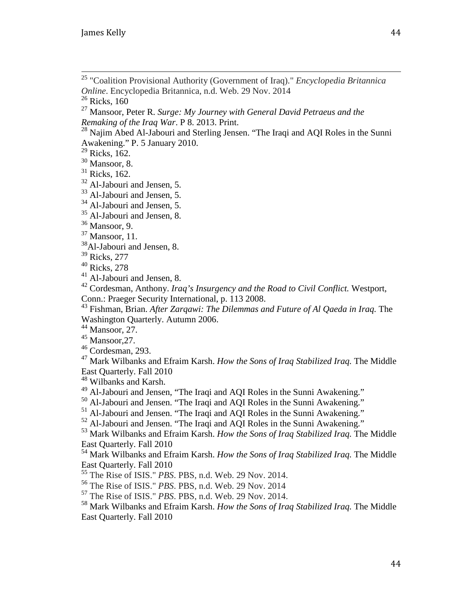"Coalition Provisional Authority (Government of Iraq)." *Encyclopedia Britannica Online*. Encyclopedia Britannica, n.d. Web. 29 Nov. 2014  $\overline{\phantom{a}}$ 

Ricks, 160

 Mansoor, Peter R. *Surge: My Journey with General David Petraeus and the Remaking of the Iraq War*. P 8. 2013. Print.

<sup>28</sup> Najim Abed Al-Jabouri and Sterling Jensen. "The Iraqi and AQI Roles in the Sunni Awakening." P. 5 January 2010.

<span id="page-44-0"></span>Ricks, 162.

<span id="page-44-1"></span>Mansoor, 8.

Ricks, 162.

Al-Jabouri and Jensen, 5.

Al-Jabouri and Jensen, 5.

<sup>34</sup> Al-Jabouri and Jensen, 5.

<sup>35</sup> Al-Jabouri and Jensen, 8.

Mansoor, 11.

<sup>38</sup>Al-Jabouri and Jensen, 8.

Ricks, 277

Ricks, 278

<sup>41</sup> Al-Jabouri and Jensen, 8.

 Cordesman, Anthony. *Iraq's Insurgency and the Road to Civil Conflict.* Westport, Conn.: Praeger Security International, p. 113 2008.

 Fishman, Brian. *After Zarqawi: The Dilemmas and Future of Al Qaeda in Iraq.* The Washington Quarterly. Autumn 2006.

Mansoor, 27.

Mansoor, 27.

Cordesman, 293.

 Mark Wilbanks and Efraim Karsh. *How the Sons of Iraq Stabilized Iraq.* The Middle East Quarterly. Fall 2010

Wilbanks and Karsh.

Al-Jabouri and Jensen, "The Iraqi and AQI Roles in the Sunni Awakening."

<sup>50</sup> Al-Jabouri and Jensen. "The Iraqi and AQI Roles in the Sunni Awakening."

<sup>51</sup> Al-Jabouri and Jensen. "The Iraqi and AQI Roles in the Sunni Awakening."

Al-Jabouri and Jensen. "The Iraqi and AQI Roles in the Sunni Awakening."

 Mark Wilbanks and Efraim Karsh. *How the Sons of Iraq Stabilized Iraq.* The Middle East Quarterly. Fall 2010

 Mark Wilbanks and Efraim Karsh. *How the Sons of Iraq Stabilized Iraq.* The Middle East Quarterly. Fall 2010

The Rise of ISIS." *PBS*. PBS, n.d. Web. 29 Nov. 2014.

The Rise of ISIS." *PBS*. PBS, n.d. Web. 29 Nov. 2014

The Rise of ISIS." *PBS*. PBS, n.d. Web. 29 Nov. 2014.

 Mark Wilbanks and Efraim Karsh. *How the Sons of Iraq Stabilized Iraq.* The Middle East Quarterly. Fall 2010

Mansoor, 9.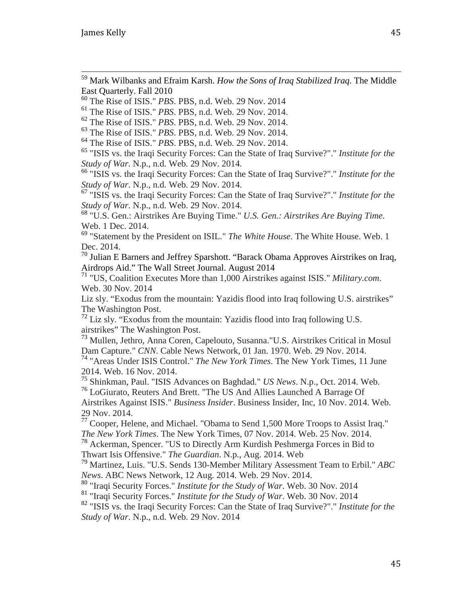<sup>59</sup> Mark Wilbanks and Efraim Karsh. *How the Sons of Iraq Stabilized Iraq.* The Middle East Quarterly. Fall 2010  $\overline{a}$ 

<sup>60</sup> The Rise of ISIS." *PBS*. PBS, n.d. Web. 29 Nov. 2014

<sup>61</sup> The Rise of ISIS." *PBS*. PBS, n.d. Web. 29 Nov. 2014.

<sup>62</sup> The Rise of ISIS." *PBS*. PBS, n.d. Web. 29 Nov. 2014.

<sup>63</sup> The Rise of ISIS." *PBS*. PBS, n.d. Web. 29 Nov. 2014.

<sup>64</sup> The Rise of ISIS." *PBS*. PBS, n.d. Web. 29 Nov. 2014.

<sup>65</sup> "ISIS vs. the Iraqi Security Forces: Can the State of Iraq Survive?"." *Institute for the Study of War*. N.p., n.d. Web. 29 Nov. 2014.

<span id="page-45-0"></span><sup>66</sup> "ISIS vs. the Iraqi Security Forces: Can the State of Iraq Survive?"." *Institute for the Study of War*. N.p., n.d. Web. 29 Nov. 2014.

<span id="page-45-1"></span><sup>67</sup> "ISIS vs. the Iraqi Security Forces: Can the State of Iraq Survive?"." *Institute for the Study of War*. N.p., n.d. Web. 29 Nov. 2014.

<span id="page-45-2"></span><sup>68</sup> "U.S. Gen.: Airstrikes Are Buying Time." *U.S. Gen.: Airstrikes Are Buying Time*. Web. 1 Dec. 2014.

<sup>69</sup> "Statement by the President on ISIL." *The White House*. The White House. Web. 1 Dec. 2014.

<sup>70</sup> Julian E Barners and Jeffrey Sparshott. "Barack Obama Approves Airstrikes on Iraq, Airdrops Aid." The Wall Street Journal. August 2014

<sup>71</sup> "US, Coalition Executes More than 1,000 Airstrikes against ISIS." *Military.com*. Web. 30 Nov. 2014

Liz sly. "Exodus from the mountain: Yazidis flood into Iraq following U.S. airstrikes" The Washington Post.

 $72$  Liz sly. "Exodus from the mountain: Yazidis flood into Iraq following U.S. airstrikes" The Washington Post.

<sup>73</sup> Mullen, Jethro, Anna Coren, Capelouto, Susanna."U.S. Airstrikes Critical in Mosul Dam Capture." *CNN*. Cable News Network, 01 Jan. 1970. Web. 29 Nov. 2014.

<sup>74</sup> "Areas Under ISIS Control." *The New York Times*. The New York Times, 11 June 2014. Web. 16 Nov. 2014.

<sup>75</sup> Shinkman, Paul. "ISIS Advances on Baghdad." *US News*. N.p., Oct. 2014. Web. <sup>76</sup> LoGiurato, Reuters And Brett. "The US And Allies Launched A Barrage Of Airstrikes Against ISIS." *Business Insider*. Business Insider, Inc, 10 Nov. 2014. Web. 29 Nov. 2014.

<sup>77</sup> Cooper, Helene, and Michael. "Obama to Send 1,500 More Troops to Assist Iraq." *The New York Times*. The New York Times, 07 Nov. 2014. Web. 25 Nov. 2014.

<sup>78</sup> Ackerman, Spencer. "US to Directly Arm Kurdish Peshmerga Forces in Bid to Thwart Isis Offensive." *The Guardian*. N.p., Aug. 2014. Web

<sup>79</sup> Martinez, Luis. "U.S. Sends 130-Member Military Assessment Team to Erbil." *ABC News*. ABC News Network, 12 Aug. 2014. Web. 29 Nov. 2014.

<sup>80</sup> "Iraqi Security Forces." *Institute for the Study of War*. Web. 30 Nov. 2014

<sup>81</sup> "Iraqi Security Forces." *Institute for the Study of War*. Web. 30 Nov. 2014

<sup>82</sup> "ISIS vs. the Iraqi Security Forces: Can the State of Iraq Survive?"." *Institute for the Study of War*. N.p., n.d. Web. 29 Nov. 2014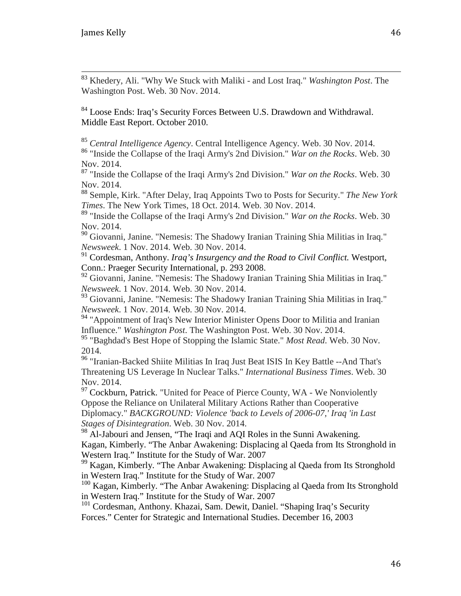<sup>83</sup> Khedery, Ali. "Why We Stuck with Maliki - and Lost Iraq." *Washington Post*. The Washington Post. Web. 30 Nov. 2014.  $\frac{1}{c}$ 

<sup>84</sup> Loose Ends: Iraq's Security Forces Between U.S. Drawdown and Withdrawal. Middle East Report. October 2010.

<sup>85</sup> *Central Intelligence Agency*. Central Intelligence Agency. Web. 30 Nov. 2014.

<sup>86</sup> "Inside the Collapse of the Iraqi Army's 2nd Division." *War on the Rocks*. Web. 30 Nov. 2014.

<sup>87</sup> "Inside the Collapse of the Iraqi Army's 2nd Division." *War on the Rocks*. Web. 30 Nov. 2014.

<sup>88</sup> Semple, Kirk. "After Delay, Iraq Appoints Two to Posts for Security." *The New York Times*. The New York Times, 18 Oct. 2014. Web. 30 Nov. 2014.

<sup>89</sup> "Inside the Collapse of the Iraqi Army's 2nd Division." *War on the Rocks*. Web. 30 Nov. 2014.

<span id="page-46-0"></span><sup>90</sup> Giovanni, Janine. "Nemesis: The Shadowy Iranian Training Shia Militias in Iraq." *Newsweek*. 1 Nov. 2014. Web. 30 Nov. 2014.

<span id="page-46-1"></span><sup>91</sup> Cordesman, Anthony. *Iraq's Insurgency and the Road to Civil Conflict.* Westport, Conn.: Praeger Security International, p. 293 2008.

<span id="page-46-2"></span><sup>92</sup> Giovanni, Janine. "Nemesis: The Shadowy Iranian Training Shia Militias in Iraq." *Newsweek*. 1 Nov. 2014. Web. 30 Nov. 2014.

<span id="page-46-3"></span><sup>93</sup> Giovanni, Janine. "Nemesis: The Shadowy Iranian Training Shia Militias in Iraq." *Newsweek*. 1 Nov. 2014. Web. 30 Nov. 2014.

 $94$  "Appointment of Iraq's New Interior Minister Opens Door to Militia and Iranian Influence." *Washington Post*. The Washington Post. Web. 30 Nov. 2014.

<sup>95</sup> "Baghdad's Best Hope of Stopping the Islamic State." *Most Read*. Web. 30 Nov. 2014.

96 "Iranian-Backed Shiite Militias In Iraq Just Beat ISIS In Key Battle -- And That's Threatening US Leverage In Nuclear Talks." *International Business Times*. Web. 30 Nov. 2014.

<sup>97</sup> Cockburn, Patrick. "United for Peace of Pierce County, WA - We Nonviolently Oppose the Reliance on Unilateral Military Actions Rather than Cooperative Diplomacy." *BACKGROUND: Violence 'back to Levels of 2006-07,' Iraq 'in Last Stages of Disintegration*. Web. 30 Nov. 2014.

<sup>98</sup> Al-Jabouri and Jensen, "The Iraqi and AQI Roles in the Sunni Awakening. Kagan, Kimberly. "The Anbar Awakening: Displacing al Qaeda from Its Stronghold in Western Iraq." Institute for the Study of War. 2007

<sup>99</sup> Kagan, Kimberly. "The Anbar Awakening: Displacing al Qaeda from Its Stronghold in Western Iraq." Institute for the Study of War. 2007

<sup>100</sup> Kagan, Kimberly. "The Anbar Awakening: Displacing al Qaeda from Its Stronghold in Western Iraq." Institute for the Study of War. 2007

<sup>101</sup> Cordesman, Anthony. Khazai, Sam. Dewit, Daniel. "Shaping Iraq's Security Forces." Center for Strategic and International Studies. December 16, 2003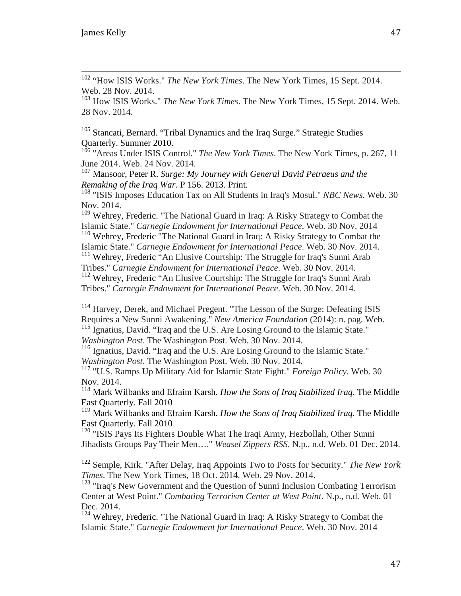<sup>102</sup> "How ISIS Works." *The New York Times*. The New York Times, 15 Sept. 2014. Web. 28 Nov. 2014.  $\overline{1}$ 

<sup>103</sup> How ISIS Works." *The New York Times*. The New York Times, 15 Sept. 2014. Web. 28 Nov. 2014.

<sup>105</sup> Stancati, Bernard. "Tribal Dynamics and the Iraq Surge." Strategic Studies Quarterly. Summer 2010.

<sup>106</sup> "Areas Under ISIS Control." *The New York Times*. The New York Times, p. 267, 11 June 2014. Web. 24 Nov. 2014.

<sup>107</sup> Mansoor, Peter R. *Surge: My Journey with General David Petraeus and the Remaking of the Iraq War*. P 156. 2013. Print.

<sup>108</sup> "ISIS Imposes Education Tax on All Students in Iraq's Mosul." *NBC News*. Web. 30 Nov. 2014.

<sup>109</sup> Wehrey, Frederic. "The National Guard in Iraq: A Risky Strategy to Combat the Islamic State." *Carnegie Endowment for International Peace*. Web. 30 Nov. 2014

<sup>110</sup> Wehrey, Frederic "The National Guard in Iraq: A Risky Strategy to Combat the Islamic State." *Carnegie Endowment for International Peace*. Web. 30 Nov. 2014.

<sup>111</sup> Wehrey, Frederic "An Elusive Courtship: The Struggle for Iraq's Sunni Arab

Tribes." *Carnegie Endowment for International Peace*. Web. 30 Nov. 2014.

<sup>112</sup> Wehrey, Frederic "An Elusive Courtship: The Struggle for Iraq's Sunni Arab Tribes." *Carnegie Endowment for International Peace*. Web. 30 Nov. 2014.

<span id="page-47-1"></span><span id="page-47-0"></span><sup>114</sup> Harvey, Derek, and Michael Pregent. "The Lesson of the Surge: Defeating ISIS Requires a New Sunni Awakening." *New America Foundation* (2014): n. pag. Web. <sup>115</sup> Ignatius, David. "Iraq and the U.S. Are Losing Ground to the Islamic State."

*Washington Post*. The Washington Post. Web. 30 Nov. 2014.

<span id="page-47-2"></span>116 Ignatius, David. "Iraq and the U.S. Are Losing Ground to the Islamic State." *Washington Post*. The Washington Post. Web. 30 Nov. 2014.

<span id="page-47-3"></span><sup>117</sup> "U.S. Ramps Up Military Aid for Islamic State Fight." *Foreign Policy*. Web. 30 Nov. 2014.

<sup>118</sup> Mark Wilbanks and Efraim Karsh. *How the Sons of Iraq Stabilized Iraq.* The Middle East Quarterly. Fall 2010

<sup>119</sup> Mark Wilbanks and Efraim Karsh. *How the Sons of Iraq Stabilized Iraq.* The Middle East Quarterly. Fall 2010

<sup>120</sup> "ISIS Pays Its Fighters Double What The Iraqi Army, Hezbollah, Other Sunni Jihadists Groups Pay Their Men…." *Weasel Zippers RSS*. N.p., n.d. Web. 01 Dec. 2014.

<sup>122</sup> Semple, Kirk. "After Delay, Iraq Appoints Two to Posts for Security." *The New York Times*. The New York Times, 18 Oct. 2014. Web. 29 Nov. 2014.

<sup>123</sup> "Iraq's New Government and the Question of Sunni Inclusion Combating Terrorism Center at West Point." *Combating Terrorism Center at West Point*. N.p., n.d. Web. 01 Dec. 2014.

<sup>124</sup> Wehrey, Frederic. "The National Guard in Iraq: A Risky Strategy to Combat the Islamic State." *Carnegie Endowment for International Peace*. Web. 30 Nov. 2014